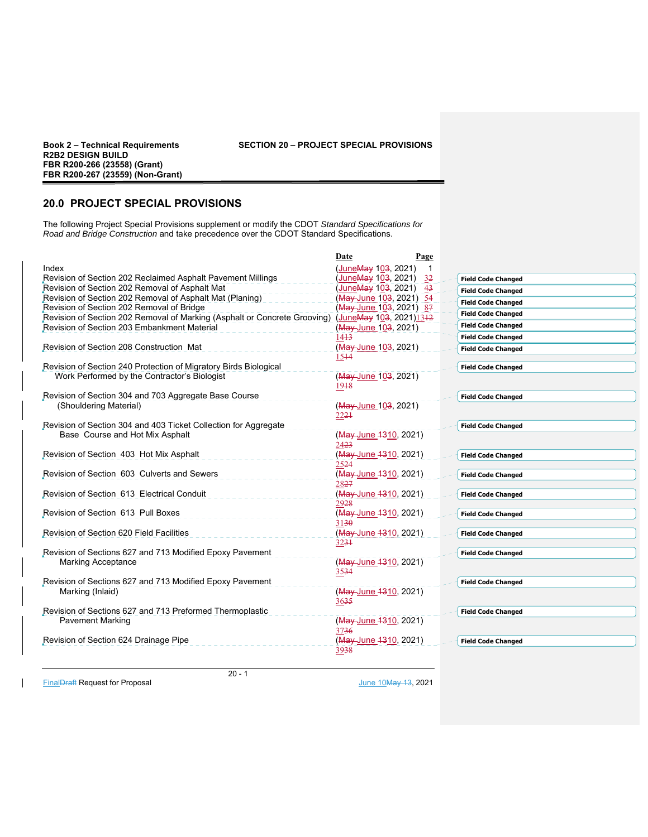## **Book 2 – Technical Requirements SECTION 20 – PROJECT SPECIAL PROVISIONS**

# **20.0 PROJECT SPECIAL PROVISIONS**

The following Project Special Provisions supplement or modify the CDOT *Standard Specifications for Road and Bridge Construction* and take precedence over the CDOT Standard Specifications.

|                                                                           | Date                                     | Page |                           |
|---------------------------------------------------------------------------|------------------------------------------|------|---------------------------|
| Index                                                                     | (JuneMay 103, 2021)                      |      |                           |
| Revision of Section 202 Reclaimed Asphalt Pavement Millings               | (JuneMay 103, 2021)                      | 32   | <b>Field Code Changed</b> |
| Revision of Section 202 Removal of Asphalt Mat                            | (JuneMay 103, 2021) 43                   |      | <b>Field Code Changed</b> |
| Revision of Section 202 Removal of Asphalt Mat (Planing)                  | (May-June 103, 2021) 54                  |      | <b>Field Code Changed</b> |
| Revision of Section 202 Removal of Bridge                                 | (May-June 103, 2021) 87                  |      | <b>Field Code Changed</b> |
| Revision of Section 202 Removal of Marking (Asphalt or Concrete Grooving) | (JuneMay 103, 2021)1312                  |      | <b>Field Code Changed</b> |
| Revision of Section 203 Embankment Material                               | (May-June 103, 2021)                     |      |                           |
| Revision of Section 208 Construction Mat                                  | 14 <del>13</del><br>(May-June 103, 2021) |      | <b>Field Code Changed</b> |
|                                                                           | 1544                                     |      | <b>Field Code Changed</b> |
| Revision of Section 240 Protection of Migratory Birds Biological          |                                          |      | <b>Field Code Changed</b> |
| Work Performed by the Contractor's Biologist                              | (May June 103, 2021)                     |      |                           |
|                                                                           | 1948                                     |      |                           |
| Revision of Section 304 and 703 Aggregate Base Course                     |                                          |      | <b>Field Code Changed</b> |
| (Shouldering Material)                                                    | (May June 103, 2021)<br>2224             |      |                           |
| Revision of Section 304 and 403 Ticket Collection for Aggregate           |                                          |      | <b>Field Code Changed</b> |
| Base Course and Hot Mix Asphalt                                           | (May June 1310, 2021)<br>2423            |      |                           |
| Revision of Section 403 Hot Mix Asphalt                                   | (May June 1310, 2021)                    |      | <b>Field Code Changed</b> |
|                                                                           | 2524                                     |      |                           |
| Revision of Section 603 Culverts and Sewers                               | (May June 1310, 2021)                    |      | <b>Field Code Changed</b> |
|                                                                           | 2827                                     |      |                           |
| Revision of Section 613 Electrical Conduit                                | (May June 1310, 2021)                    |      | <b>Field Code Changed</b> |
| Revision of Section 613 Pull Boxes                                        | 2928                                     |      |                           |
|                                                                           | (May June 1310, 2021)<br>3130            |      | <b>Field Code Changed</b> |
| Revision of Section 620 Field Facilities                                  | (May June 1310, 2021)                    |      | <b>Field Code Changed</b> |
|                                                                           | 3234                                     |      |                           |
| Revision of Sections 627 and 713 Modified Epoxy Pavement                  |                                          |      | <b>Field Code Changed</b> |
| <b>Marking Acceptance</b>                                                 | (May-June 1310, 2021)<br>3534            |      |                           |
| Revision of Sections 627 and 713 Modified Epoxy Pavement                  |                                          |      | <b>Field Code Changed</b> |
| Marking (Inlaid)                                                          | (May June 1310, 2021)<br>3635            |      |                           |
| Revision of Sections 627 and 713 Preformed Thermoplastic                  |                                          |      | <b>Field Code Changed</b> |
| Pavement Marking                                                          | (May June 1310, 2021)<br>3736            |      |                           |
| Revision of Section 624 Drainage Pipe                                     | (May June 1310, 2021)                    |      | <b>Field Code Changed</b> |
|                                                                           | 3938                                     |      |                           |
|                                                                           |                                          |      |                           |

FinalDraft Request for Proposal June 10May 13, 2021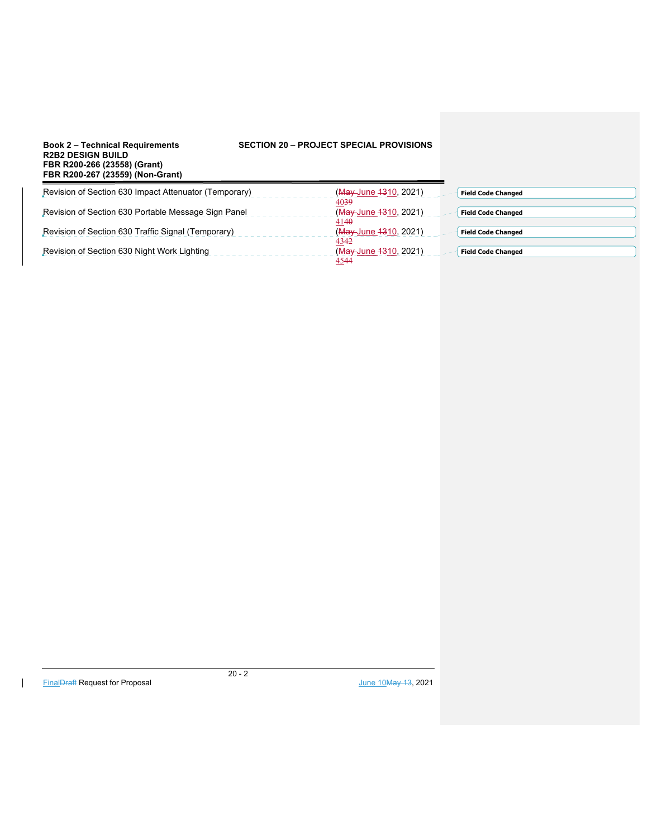## **SECTION 20 – PROJECT SPECIAL PROVISIONS**

| FBR R200-267 (23559) (NON-Grant)                      |                                                    |  |
|-------------------------------------------------------|----------------------------------------------------|--|
| Revision of Section 630 Impact Attenuator (Temporary) | (May June 1310, 2021)<br><b>Field Code Changed</b> |  |
|                                                       | 4039                                               |  |
| Revision of Section 630 Portable Message Sign Panel   | (May June 1310, 2021)<br><b>Field Code Changed</b> |  |
|                                                       | 4140                                               |  |
| Revision of Section 630 Traffic Signal (Temporary)    | (May June 1310, 2021)<br><b>Field Code Changed</b> |  |
|                                                       | 434 <del>2</del>                                   |  |
| Revision of Section 630 Night Work Lighting           | (May June 1310, 2021)<br><b>Field Code Changed</b> |  |
|                                                       | 4544                                               |  |

 $\mathsf{l}$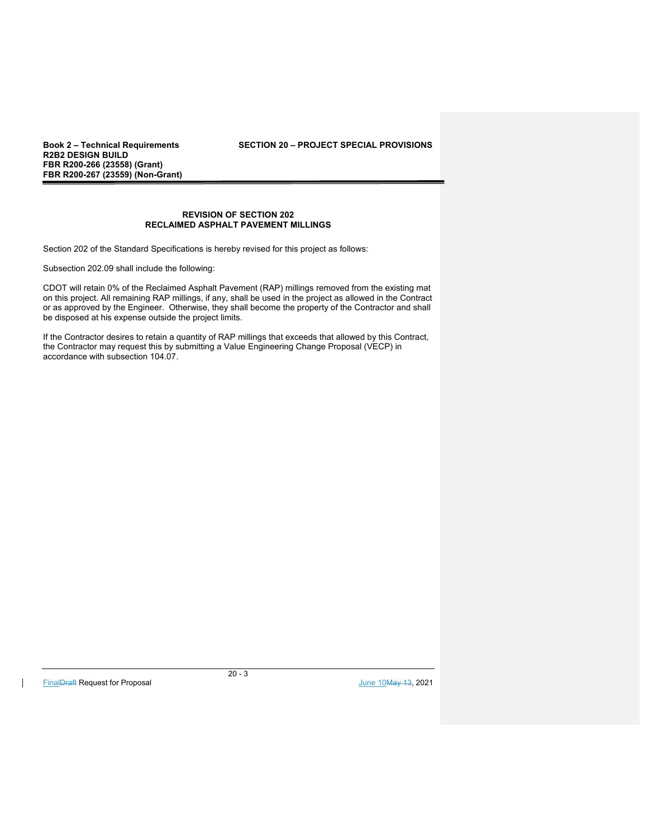**R2B2 DESIGN BUILD FBR R200-266 (23558) (Grant) FBR R200-267 (23559) (Non-Grant)** 

## **REVISION OF SECTION 202 RECLAIMED ASPHALT PAVEMENT MILLINGS**

Section 202 of the Standard Specifications is hereby revised for this project as follows:

Subsection 202.09 shall include the following:

CDOT will retain 0% of the Reclaimed Asphalt Pavement (RAP) millings removed from the existing mat on this project. All remaining RAP millings, if any, shall be used in the project as allowed in the Contract or as approved by the Engineer. Otherwise, they shall become the property of the Contractor and shall be disposed at his expense outside the project limits.

If the Contractor desires to retain a quantity of RAP millings that exceeds that allowed by this Contract, the Contractor may request this by submitting a Value Engineering Change Proposal (VECP) in accordance with subsection 104.07.

FinalDraft Request for Proposal June 10May 13, 2021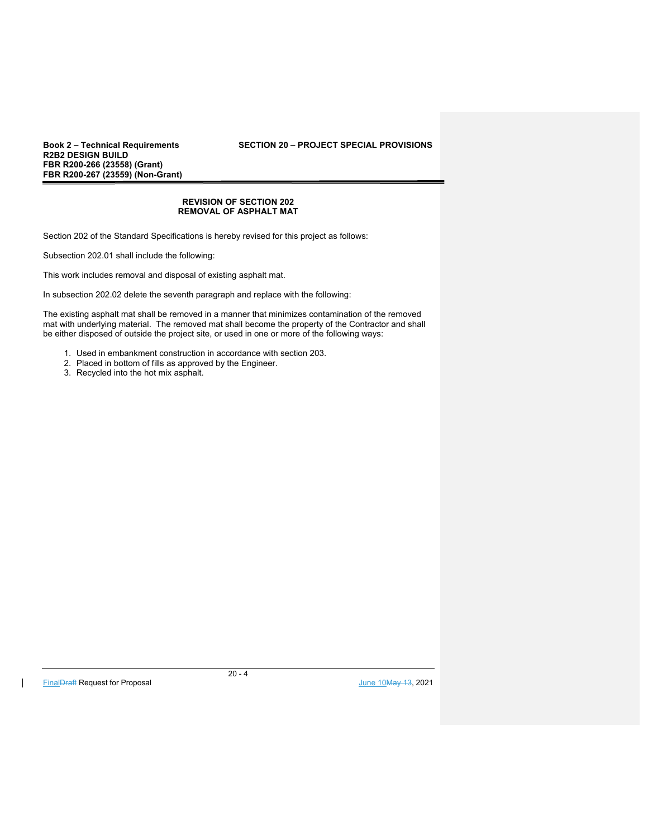**R2B2 DESIGN BUILD FBR R200-266 (23558) (Grant) FBR R200-267 (23559) (Non-Grant)** 

#### **REVISION OF SECTION 202 REMOVAL OF ASPHALT MAT**

Section 202 of the Standard Specifications is hereby revised for this project as follows:

Subsection 202.01 shall include the following:

This work includes removal and disposal of existing asphalt mat.

In subsection 202.02 delete the seventh paragraph and replace with the following:

The existing asphalt mat shall be removed in a manner that minimizes contamination of the removed mat with underlying material. The removed mat shall become the property of the Contractor and shall be either disposed of outside the project site, or used in one or more of the following ways:

- 1. Used in embankment construction in accordance with section 203.
- 2. Placed in bottom of fills as approved by the Engineer.
- 3. Recycled into the hot mix asphalt.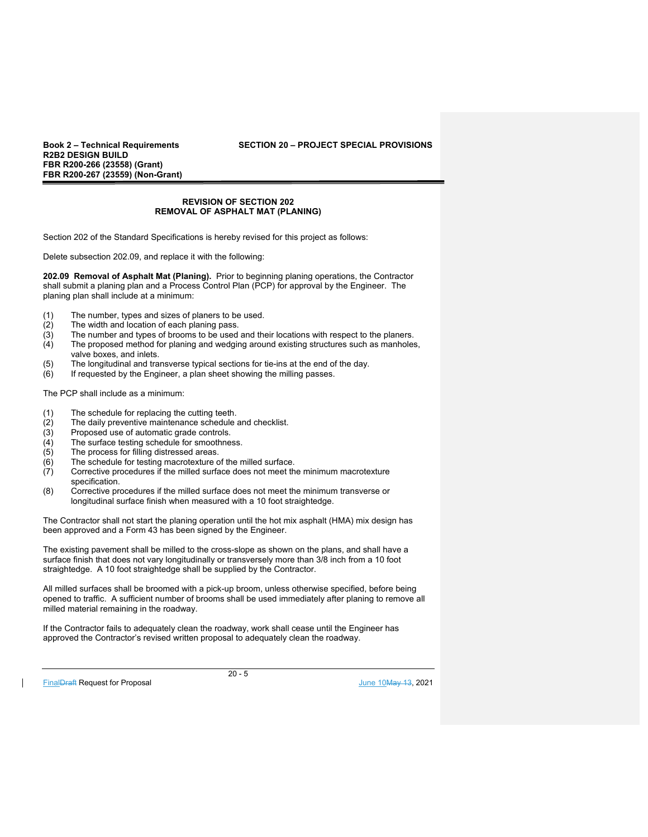**R2B2 DESIGN BUILD FBR R200-266 (23558) (Grant) FBR R200-267 (23559) (Non-Grant)** 

## **REVISION OF SECTION 202 REMOVAL OF ASPHALT MAT (PLANING)**

Section 202 of the Standard Specifications is hereby revised for this project as follows:

Delete subsection 202.09, and replace it with the following:

**202.09 Removal of Asphalt Mat (Planing).** Prior to beginning planing operations, the Contractor shall submit a planing plan and a Process Control Plan (PCP) for approval by the Engineer. The planing plan shall include at a minimum:

- (1) The number, types and sizes of planers to be used.
- (2) The width and location of each planing pass.
- $(3)$  The number and types of brooms to be used and their locations with respect to the planers.<br> $(4)$  The proposed method for planing and wedging around existing structures such as manholes The proposed method for planing and wedging around existing structures such as manholes, valve boxes, and inlets.
- (5) The longitudinal and transverse typical sections for tie-ins at the end of the day.<br>(6) If requested by the Engineer, a plan sheet showing the milling passes.
- If requested by the Engineer, a plan sheet showing the milling passes.

The PCP shall include as a minimum:

- (1) The schedule for replacing the cutting teeth.<br>(2) The daily preventive maintenance schedule a
- $\overline{2}$  The daily preventive maintenance schedule and checklist.<br>(3) Proposed use of automatic grade controls.
- Proposed use of automatic grade controls.
- $\overline{(4)}$  The surface testing schedule for smoothness.<br>(5) The process for filling distressed areas.
- The process for filling distressed areas.
- (6) The schedule for testing macrotexture of the milled surface.
- Corrective procedures if the milled surface does not meet the minimum macrotexture specification.
- (8) Corrective procedures if the milled surface does not meet the minimum transverse or longitudinal surface finish when measured with a 10 foot straightedge.

The Contractor shall not start the planing operation until the hot mix asphalt (HMA) mix design has been approved and a Form 43 has been signed by the Engineer.

The existing pavement shall be milled to the cross-slope as shown on the plans, and shall have a surface finish that does not vary longitudinally or transversely more than 3/8 inch from a 10 foot straightedge. A 10 foot straightedge shall be supplied by the Contractor.

All milled surfaces shall be broomed with a pick-up broom, unless otherwise specified, before being opened to traffic. A sufficient number of brooms shall be used immediately after planing to remove all milled material remaining in the roadway.

If the Contractor fails to adequately clean the roadway, work shall cease until the Engineer has approved the Contractor's revised written proposal to adequately clean the roadway.

FinalDraft Request for Proposal and the set of the set of the set of the set of the set of the set of the set of the set of the set of the set of the set of the set of the set of the set of the set of the set of the set of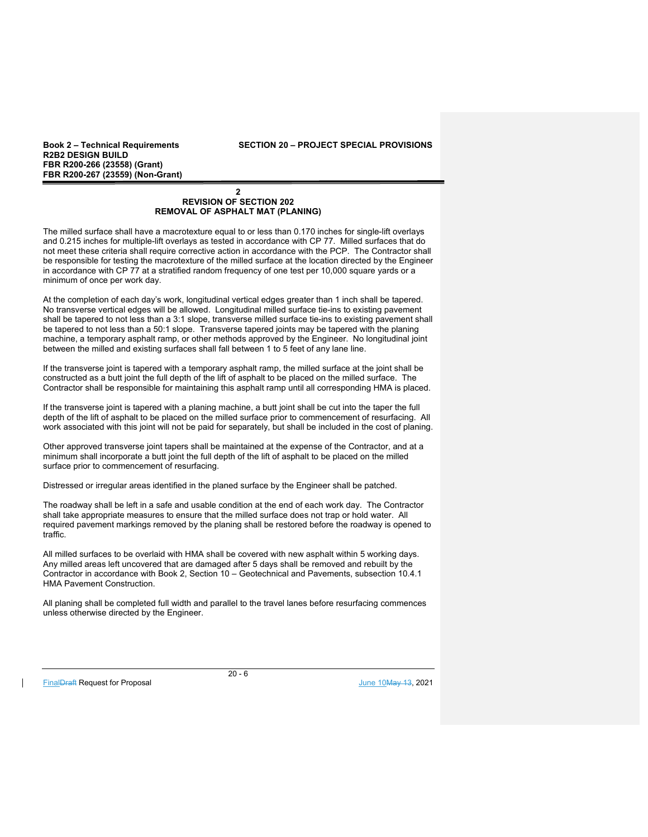## **Book 2 – Technical Requirements SECTION 20 – PROJECT SPECIAL PROVISIONS**

## **2 REVISION OF SECTION 202 REMOVAL OF ASPHALT MAT (PLANING)**

The milled surface shall have a macrotexture equal to or less than 0.170 inches for single-lift overlays and 0.215 inches for multiple-lift overlays as tested in accordance with CP 77. Milled surfaces that do not meet these criteria shall require corrective action in accordance with the PCP. The Contractor shall be responsible for testing the macrotexture of the milled surface at the location directed by the Engineer in accordance with CP 77 at a stratified random frequency of one test per 10,000 square yards or a minimum of once per work day.

At the completion of each day's work, longitudinal vertical edges greater than 1 inch shall be tapered. No transverse vertical edges will be allowed. Longitudinal milled surface tie-ins to existing pavement shall be tapered to not less than a 3:1 slope, transverse milled surface tie-ins to existing pavement shall be tapered to not less than a 50:1 slope. Transverse tapered joints may be tapered with the planing machine, a temporary asphalt ramp, or other methods approved by the Engineer. No longitudinal joint between the milled and existing surfaces shall fall between 1 to 5 feet of any lane line.

If the transverse joint is tapered with a temporary asphalt ramp, the milled surface at the joint shall be constructed as a butt joint the full depth of the lift of asphalt to be placed on the milled surface. The Contractor shall be responsible for maintaining this asphalt ramp until all corresponding HMA is placed.

If the transverse joint is tapered with a planing machine, a butt joint shall be cut into the taper the full depth of the lift of asphalt to be placed on the milled surface prior to commencement of resurfacing. All work associated with this joint will not be paid for separately, but shall be included in the cost of planing.

Other approved transverse joint tapers shall be maintained at the expense of the Contractor, and at a minimum shall incorporate a butt joint the full depth of the lift of asphalt to be placed on the milled surface prior to commencement of resurfacing.

Distressed or irregular areas identified in the planed surface by the Engineer shall be patched.

The roadway shall be left in a safe and usable condition at the end of each work day. The Contractor shall take appropriate measures to ensure that the milled surface does not trap or hold water. All required pavement markings removed by the planing shall be restored before the roadway is opened to traffic.

All milled surfaces to be overlaid with HMA shall be covered with new asphalt within 5 working days. Any milled areas left uncovered that are damaged after 5 days shall be removed and rebuilt by the Contractor in accordance with Book 2, Section 10 – Geotechnical and Pavements, subsection 10.4.1 HMA Pavement Construction.

All planing shall be completed full width and parallel to the travel lanes before resurfacing commences unless otherwise directed by the Engineer.

FinalDraft Request for Proposal and the set of the set of the set of the set of the set of the set of the set of the set of the set of the set of the set of the set of the set of the set of the set of the set of the set of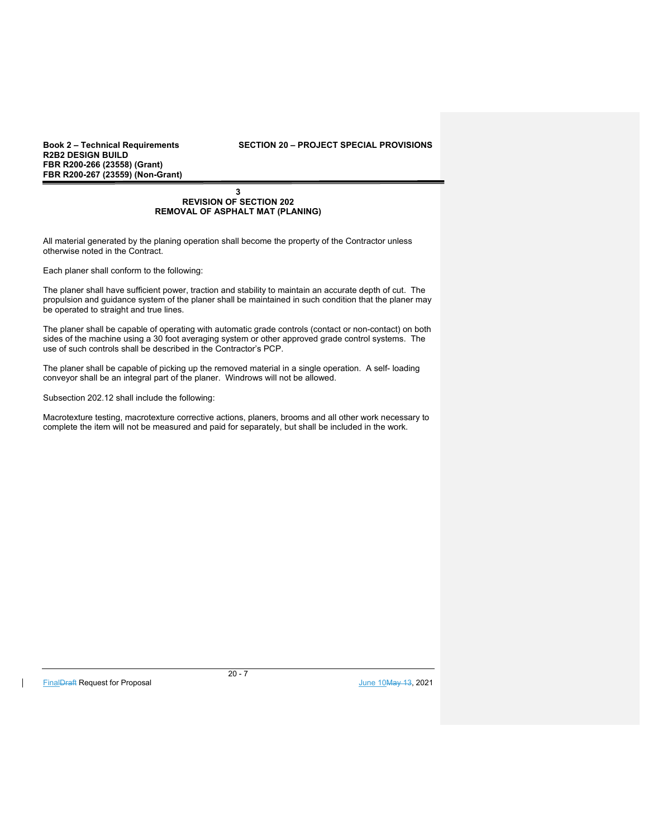**R2B2 DESIGN BUILD FBR R200-266 (23558) (Grant) FBR R200-267 (23559) (Non-Grant)** 

#### **3 REVISION OF SECTION 202 REMOVAL OF ASPHALT MAT (PLANING)**

All material generated by the planing operation shall become the property of the Contractor unless otherwise noted in the Contract.

Each planer shall conform to the following:

The planer shall have sufficient power, traction and stability to maintain an accurate depth of cut. The propulsion and guidance system of the planer shall be maintained in such condition that the planer may be operated to straight and true lines.

The planer shall be capable of operating with automatic grade controls (contact or non-contact) on both sides of the machine using a 30 foot averaging system or other approved grade control systems. The use of such controls shall be described in the Contractor's PCP.

The planer shall be capable of picking up the removed material in a single operation. A self- loading conveyor shall be an integral part of the planer. Windrows will not be allowed.

Subsection 202.12 shall include the following:

Macrotexture testing, macrotexture corrective actions, planers, brooms and all other work necessary to complete the item will not be measured and paid for separately, but shall be included in the work.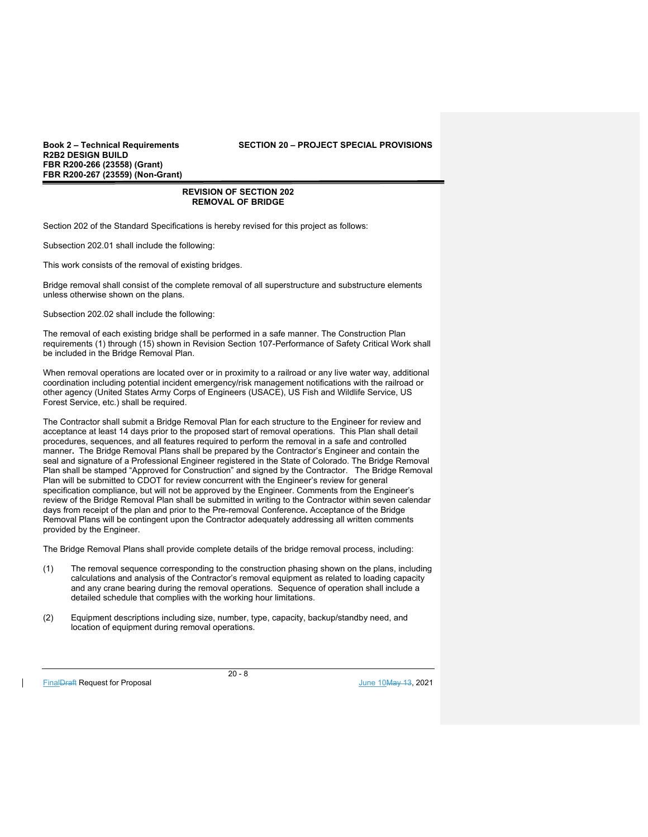**R2B2 DESIGN BUILD FBR R200-266 (23558) (Grant) FBR R200-267 (23559) (Non-Grant)** 

## **REVISION OF SECTION 202 REMOVAL OF BRIDGE**

Section 202 of the Standard Specifications is hereby revised for this project as follows:

Subsection 202.01 shall include the following:

This work consists of the removal of existing bridges.

Bridge removal shall consist of the complete removal of all superstructure and substructure elements unless otherwise shown on the plans.

Subsection 202.02 shall include the following:

The removal of each existing bridge shall be performed in a safe manner. The Construction Plan requirements (1) through (15) shown in Revision Section 107-Performance of Safety Critical Work shall be included in the Bridge Removal Plan.

When removal operations are located over or in proximity to a railroad or any live water way, additional coordination including potential incident emergency/risk management notifications with the railroad or other agency (United States Army Corps of Engineers (USACE), US Fish and Wildlife Service, US Forest Service, etc.) shall be required.

The Contractor shall submit a Bridge Removal Plan for each structure to the Engineer for review and acceptance at least 14 days prior to the proposed start of removal operations. This Plan shall detail procedures, sequences, and all features required to perform the removal in a safe and controlled manner**.** The Bridge Removal Plans shall be prepared by the Contractor's Engineer and contain the seal and signature of a Professional Engineer registered in the State of Colorado. The Bridge Removal Plan shall be stamped "Approved for Construction" and signed by the Contractor. The Bridge Removal Plan will be submitted to CDOT for review concurrent with the Engineer's review for general specification compliance, but will not be approved by the Engineer. Comments from the Engineer's review of the Bridge Removal Plan shall be submitted in writing to the Contractor within seven calendar days from receipt of the plan and prior to the Pre-removal Conference**.** Acceptance of the Bridge Removal Plans will be contingent upon the Contractor adequately addressing all written comments provided by the Engineer.

The Bridge Removal Plans shall provide complete details of the bridge removal process, including:

- (1) The removal sequence corresponding to the construction phasing shown on the plans, including calculations and analysis of the Contractor's removal equipment as related to loading capacity and any crane bearing during the removal operations. Sequence of operation shall include a detailed schedule that complies with the working hour limitations.
- (2) Equipment descriptions including size, number, type, capacity, backup/standby need, and location of equipment during removal operations.

FinalDraft Request for Proposal and the set of the set of the set of the set of the set of the set of the set of the set of the set of the set of the set of the set of the set of the set of the set of the set of the set of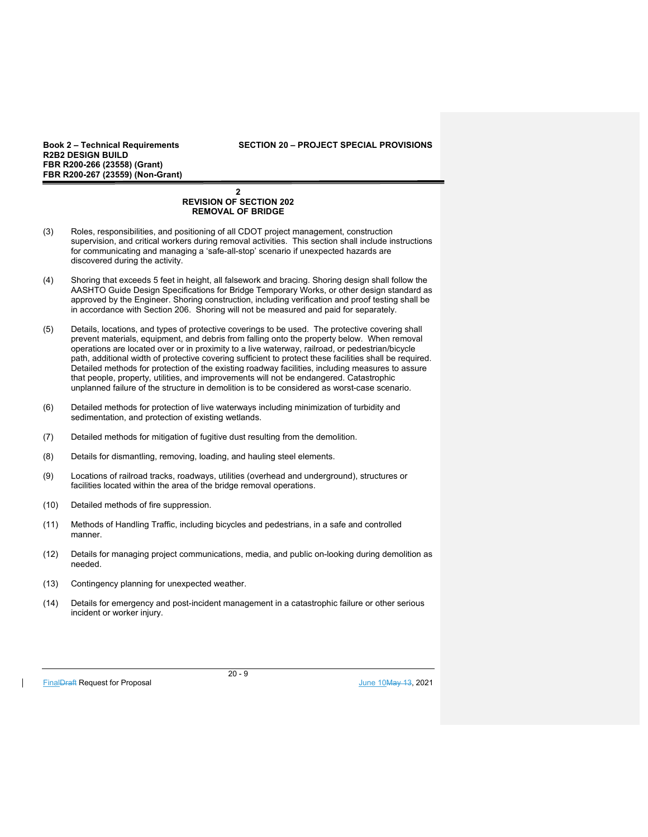## **Book 2 – Technical Requirements SECTION 20 – PROJECT SPECIAL PROVISIONS**

#### **2 REVISION OF SECTION 202 REMOVAL OF BRIDGE**

- (3) Roles, responsibilities, and positioning of all CDOT project management, construction supervision, and critical workers during removal activities. This section shall include instructions for communicating and managing a 'safe-all-stop' scenario if unexpected hazards are discovered during the activity.
- (4) Shoring that exceeds 5 feet in height, all falsework and bracing. Shoring design shall follow the AASHTO Guide Design Specifications for Bridge Temporary Works, or other design standard as approved by the Engineer. Shoring construction, including verification and proof testing shall be in accordance with Section 206. Shoring will not be measured and paid for separately.
- (5) Details, locations, and types of protective coverings to be used. The protective covering shall prevent materials, equipment, and debris from falling onto the property below. When removal operations are located over or in proximity to a live waterway, railroad, or pedestrian/bicycle path, additional width of protective covering sufficient to protect these facilities shall be required. Detailed methods for protection of the existing roadway facilities, including measures to assure that people, property, utilities, and improvements will not be endangered. Catastrophic unplanned failure of the structure in demolition is to be considered as worst-case scenario.
- (6) Detailed methods for protection of live waterways including minimization of turbidity and sedimentation, and protection of existing wetlands.
- (7) Detailed methods for mitigation of fugitive dust resulting from the demolition.
- (8) Details for dismantling, removing, loading, and hauling steel elements.
- (9) Locations of railroad tracks, roadways, utilities (overhead and underground), structures or facilities located within the area of the bridge removal operations.
- (10) Detailed methods of fire suppression.
- (11) Methods of Handling Traffic, including bicycles and pedestrians, in a safe and controlled manner.
- (12) Details for managing project communications, media, and public on-looking during demolition as needed.
- (13) Contingency planning for unexpected weather.
- (14) Details for emergency and post-incident management in a catastrophic failure or other serious incident or worker injury.

FinalDraft Request for Proposal and the set of the set of the set of the set of the set of the set of the set of the set of the set of the set of the set of the set of the set of the set of the set of the set of the set of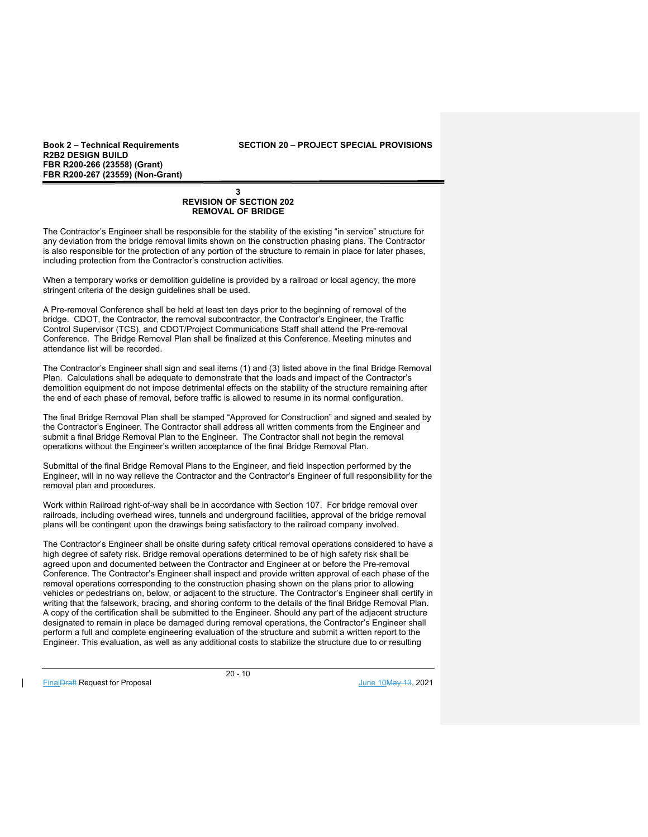**Book 2 – Technical Requirements SECTION 20 – PROJECT SPECIAL PROVISIONS** 

## **3 REVISION OF SECTION 202 REMOVAL OF BRIDGE**

The Contractor's Engineer shall be responsible for the stability of the existing "in service" structure for any deviation from the bridge removal limits shown on the construction phasing plans. The Contractor is also responsible for the protection of any portion of the structure to remain in place for later phases, including protection from the Contractor's construction activities.

When a temporary works or demolition guideline is provided by a railroad or local agency, the more stringent criteria of the design guidelines shall be used.

A Pre-removal Conference shall be held at least ten days prior to the beginning of removal of the bridge. CDOT, the Contractor, the removal subcontractor, the Contractor's Engineer, the Traffic Control Supervisor (TCS), and CDOT/Project Communications Staff shall attend the Pre-removal Conference. The Bridge Removal Plan shall be finalized at this Conference. Meeting minutes and attendance list will be recorded.

The Contractor's Engineer shall sign and seal items (1) and (3) listed above in the final Bridge Removal Plan. Calculations shall be adequate to demonstrate that the loads and impact of the Contractor's demolition equipment do not impose detrimental effects on the stability of the structure remaining after the end of each phase of removal, before traffic is allowed to resume in its normal configuration.

The final Bridge Removal Plan shall be stamped "Approved for Construction" and signed and sealed by the Contractor's Engineer. The Contractor shall address all written comments from the Engineer and submit a final Bridge Removal Plan to the Engineer. The Contractor shall not begin the removal operations without the Engineer's written acceptance of the final Bridge Removal Plan.

Submittal of the final Bridge Removal Plans to the Engineer, and field inspection performed by the Engineer, will in no way relieve the Contractor and the Contractor's Engineer of full responsibility for the removal plan and procedures.

Work within Railroad right-of-way shall be in accordance with Section 107. For bridge removal over railroads, including overhead wires, tunnels and underground facilities, approval of the bridge removal plans will be contingent upon the drawings being satisfactory to the railroad company involved.

The Contractor's Engineer shall be onsite during safety critical removal operations considered to have a high degree of safety risk. Bridge removal operations determined to be of high safety risk shall be agreed upon and documented between the Contractor and Engineer at or before the Pre-removal Conference. The Contractor's Engineer shall inspect and provide written approval of each phase of the removal operations corresponding to the construction phasing shown on the plans prior to allowing vehicles or pedestrians on, below, or adjacent to the structure. The Contractor's Engineer shall certify in writing that the falsework, bracing, and shoring conform to the details of the final Bridge Removal Plan. A copy of the certification shall be submitted to the Engineer. Should any part of the adjacent structure designated to remain in place be damaged during removal operations, the Contractor's Engineer shall perform a full and complete engineering evaluation of the structure and submit a written report to the Engineer. This evaluation, as well as any additional costs to stabilize the structure due to or resulting

FinalDraft Request for Proposal June 10May 13, 2021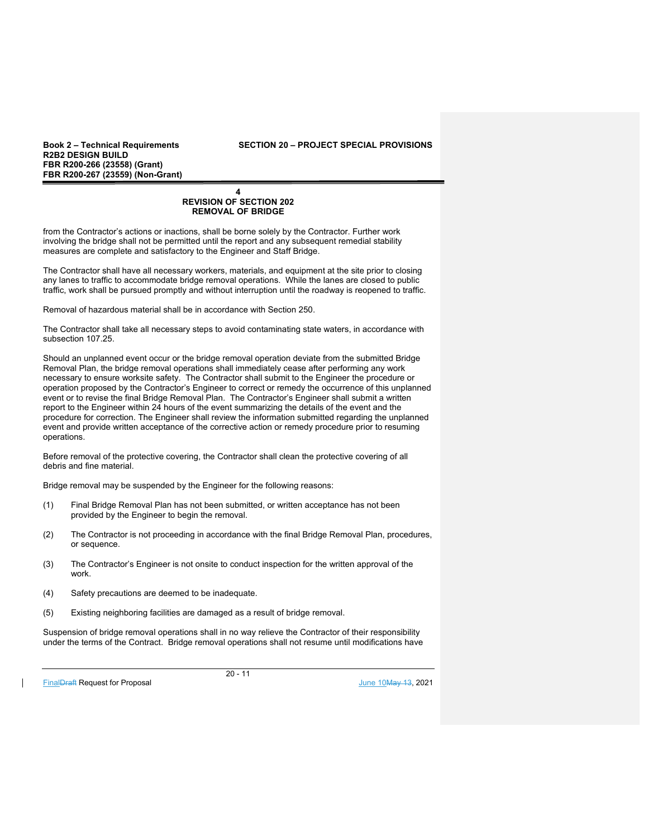**Book 2 – Technical Requirements SECTION 20 – PROJECT SPECIAL PROVISIONS** 

#### **4 REVISION OF SECTION 202 REMOVAL OF BRIDGE**

from the Contractor's actions or inactions, shall be borne solely by the Contractor. Further work involving the bridge shall not be permitted until the report and any subsequent remedial stability measures are complete and satisfactory to the Engineer and Staff Bridge.

The Contractor shall have all necessary workers, materials, and equipment at the site prior to closing any lanes to traffic to accommodate bridge removal operations. While the lanes are closed to public traffic, work shall be pursued promptly and without interruption until the roadway is reopened to traffic.

Removal of hazardous material shall be in accordance with Section 250.

The Contractor shall take all necessary steps to avoid contaminating state waters, in accordance with subsection 107.25.

Should an unplanned event occur or the bridge removal operation deviate from the submitted Bridge Removal Plan, the bridge removal operations shall immediately cease after performing any work necessary to ensure worksite safety. The Contractor shall submit to the Engineer the procedure or operation proposed by the Contractor's Engineer to correct or remedy the occurrence of this unplanned event or to revise the final Bridge Removal Plan. The Contractor's Engineer shall submit a written report to the Engineer within 24 hours of the event summarizing the details of the event and the procedure for correction. The Engineer shall review the information submitted regarding the unplanned event and provide written acceptance of the corrective action or remedy procedure prior to resuming operations.

Before removal of the protective covering, the Contractor shall clean the protective covering of all debris and fine material.

Bridge removal may be suspended by the Engineer for the following reasons:

- (1) Final Bridge Removal Plan has not been submitted, or written acceptance has not been provided by the Engineer to begin the removal.
- (2) The Contractor is not proceeding in accordance with the final Bridge Removal Plan, procedures, or sequence.
- (3) The Contractor's Engineer is not onsite to conduct inspection for the written approval of the work.
- (4) Safety precautions are deemed to be inadequate.
- (5) Existing neighboring facilities are damaged as a result of bridge removal.

Suspension of bridge removal operations shall in no way relieve the Contractor of their responsibility under the terms of the Contract. Bridge removal operations shall not resume until modifications have

FinalDraft Request for Proposal and the set of the set of the set of the set of the set of the set of the set of the set of the set of the set of the set of the set of the set of the set of the set of the set of the set of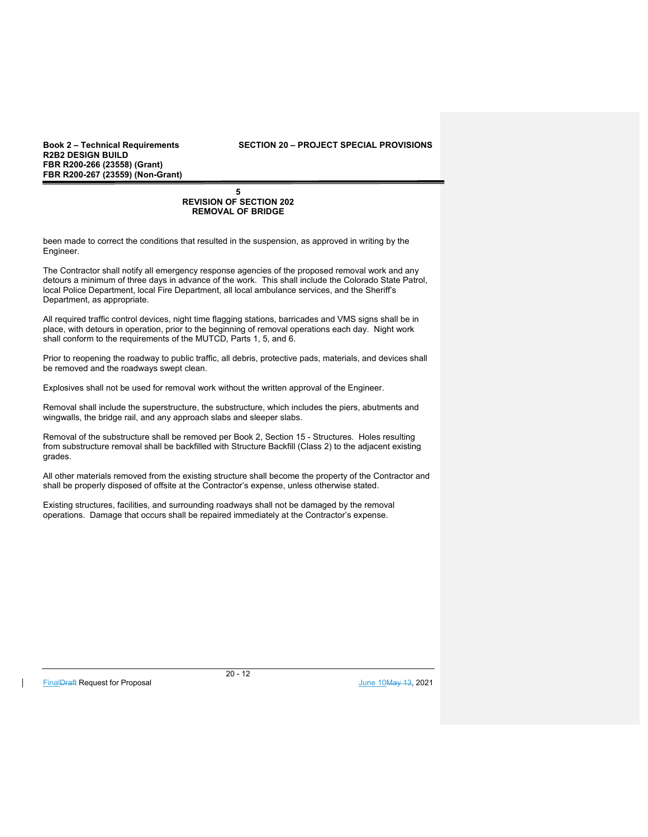**Book 2 – Technical Requirements SECTION 20 – PROJECT SPECIAL PROVISIONS** 

#### **5 REVISION OF SECTION 202 REMOVAL OF BRIDGE**

been made to correct the conditions that resulted in the suspension, as approved in writing by the Engineer.

The Contractor shall notify all emergency response agencies of the proposed removal work and any detours a minimum of three days in advance of the work. This shall include the Colorado State Patrol, local Police Department, local Fire Department, all local ambulance services, and the Sheriff's Department, as appropriate.

All required traffic control devices, night time flagging stations, barricades and VMS signs shall be in place, with detours in operation, prior to the beginning of removal operations each day. Night work shall conform to the requirements of the MUTCD, Parts 1, 5, and 6.

Prior to reopening the roadway to public traffic, all debris, protective pads, materials, and devices shall be removed and the roadways swept clean.

Explosives shall not be used for removal work without the written approval of the Engineer.

Removal shall include the superstructure, the substructure, which includes the piers, abutments and wingwalls, the bridge rail, and any approach slabs and sleeper slabs.

Removal of the substructure shall be removed per Book 2, Section 15 - Structures. Holes resulting from substructure removal shall be backfilled with Structure Backfill (Class 2) to the adjacent existing grades.

All other materials removed from the existing structure shall become the property of the Contractor and shall be properly disposed of offsite at the Contractor's expense, unless otherwise stated.

Existing structures, facilities, and surrounding roadways shall not be damaged by the removal operations. Damage that occurs shall be repaired immediately at the Contractor's expense.

FinalDraft Request for Proposal June 10May 13, 2021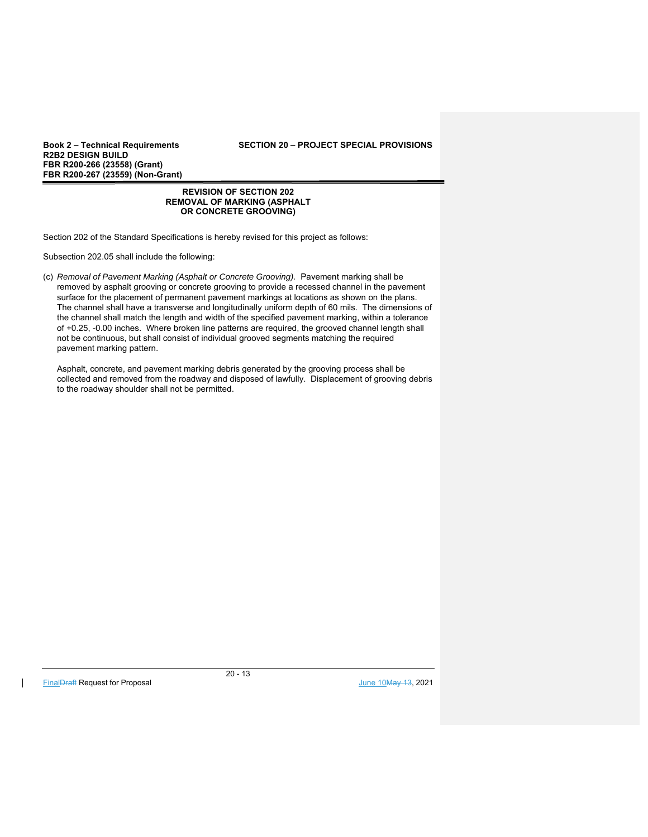**R2B2 DESIGN BUILD FBR R200-266 (23558) (Grant) FBR R200-267 (23559) (Non-Grant)** 

> **REVISION OF SECTION 202 REMOVAL OF MARKING (ASPHALT OR CONCRETE GROOVING)**

Section 202 of the Standard Specifications is hereby revised for this project as follows:

Subsection 202.05 shall include the following:

(c) *Removal of Pavement Marking (Asphalt or Concrete Grooving).* Pavement marking shall be removed by asphalt grooving or concrete grooving to provide a recessed channel in the pavement surface for the placement of permanent pavement markings at locations as shown on the plans. The channel shall have a transverse and longitudinally uniform depth of 60 mils. The dimensions of the channel shall match the length and width of the specified pavement marking, within a tolerance of +0.25, -0.00 inches. Where broken line patterns are required, the grooved channel length shall not be continuous, but shall consist of individual grooved segments matching the required pavement marking pattern.

Asphalt, concrete, and pavement marking debris generated by the grooving process shall be collected and removed from the roadway and disposed of lawfully. Displacement of grooving debris to the roadway shoulder shall not be permitted.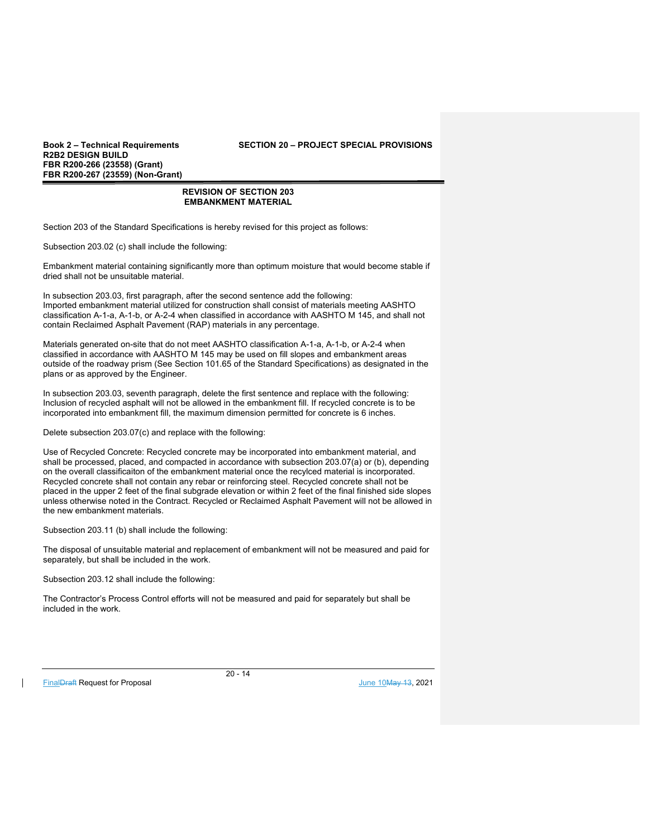**Book 2 – Technical Requirements SECTION 20 – PROJECT SPECIAL PROVISIONS** 

## **REVISION OF SECTION 203 EMBANKMENT MATERIAL**

Section 203 of the Standard Specifications is hereby revised for this project as follows:

Subsection 203.02 (c) shall include the following:

Embankment material containing significantly more than optimum moisture that would become stable if dried shall not be unsuitable material.

In subsection 203.03, first paragraph, after the second sentence add the following: Imported embankment material utilized for construction shall consist of materials meeting AASHTO classification A-1-a, A-1-b, or A-2-4 when classified in accordance with AASHTO M 145, and shall not contain Reclaimed Asphalt Pavement (RAP) materials in any percentage.

Materials generated on-site that do not meet AASHTO classification A-1-a, A-1-b, or A-2-4 when classified in accordance with AASHTO M 145 may be used on fill slopes and embankment areas outside of the roadway prism (See Section 101.65 of the Standard Specifications) as designated in the plans or as approved by the Engineer.

In subsection 203.03, seventh paragraph, delete the first sentence and replace with the following: Inclusion of recycled asphalt will not be allowed in the embankment fill. If recycled concrete is to be incorporated into embankment fill, the maximum dimension permitted for concrete is 6 inches.

Delete subsection 203.07(c) and replace with the following:

Use of Recycled Concrete: Recycled concrete may be incorporated into embankment material, and shall be processed, placed, and compacted in accordance with subsection 203.07(a) or (b), depending on the overall classificaiton of the embankment material once the recylced material is incorporated. Recycled concrete shall not contain any rebar or reinforcing steel. Recycled concrete shall not be placed in the upper 2 feet of the final subgrade elevation or within 2 feet of the final finished side slopes unless otherwise noted in the Contract. Recycled or Reclaimed Asphalt Pavement will not be allowed in the new embankment materials.

Subsection 203.11 (b) shall include the following:

The disposal of unsuitable material and replacement of embankment will not be measured and paid for separately, but shall be included in the work.

Subsection 203.12 shall include the following:

The Contractor's Process Control efforts will not be measured and paid for separately but shall be included in the work.

FinalDraft Request for Proposal June 10May 13, 2021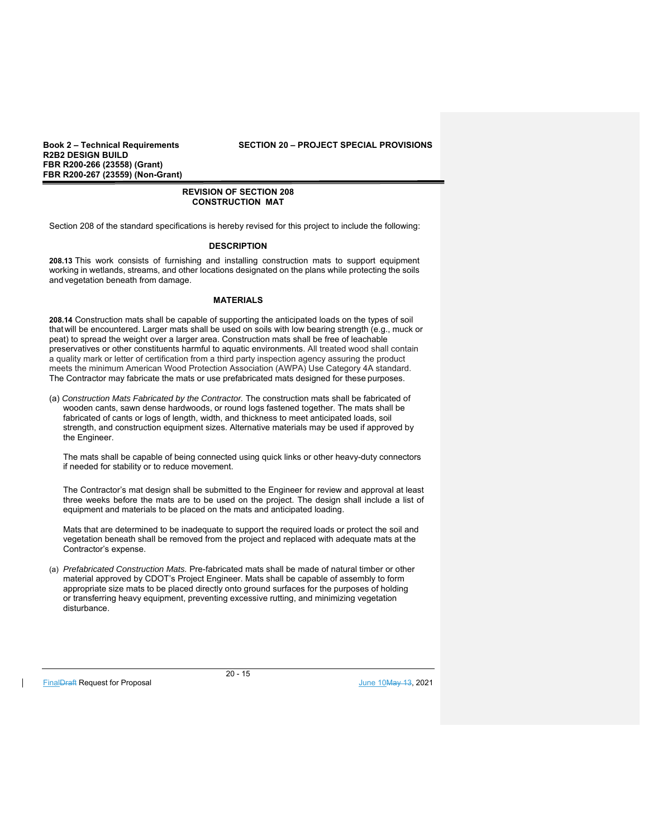**Book 2 – Technical Requirements SECTION 20 – PROJECT SPECIAL PROVISIONS** 

## **REVISION OF SECTION 208 CONSTRUCTION MAT**

Section 208 of the standard specifications is hereby revised for this project to include the following:

## **DESCRIPTION**

**208.13** This work consists of furnishing and installing construction mats to support equipment working in wetlands, streams, and other locations designated on the plans while protecting the soils and vegetation beneath from damage.

## **MATERIALS**

**208.14** Construction mats shall be capable of supporting the anticipated loads on the types of soil that will be encountered. Larger mats shall be used on soils with low bearing strength (e.g., muck or peat) to spread the weight over a larger area. Construction mats shall be free of leachable preservatives or other constituents harmful to aquatic environments. All treated wood shall contain a quality mark or letter of certification from a third party inspection agency assuring the product meets the minimum American Wood Protection Association (AWPA) Use Category 4A standard. The Contractor may fabricate the mats or use prefabricated mats designed for these purposes.

(a) *Construction Mats Fabricated by the Contractor.* The construction mats shall be fabricated of wooden cants, sawn dense hardwoods, or round logs fastened together. The mats shall be fabricated of cants or logs of length, width, and thickness to meet anticipated loads, soil strength, and construction equipment sizes. Alternative materials may be used if approved by the Engineer.

The mats shall be capable of being connected using quick links or other heavy-duty connectors if needed for stability or to reduce movement.

The Contractor's mat design shall be submitted to the Engineer for review and approval at least three weeks before the mats are to be used on the project. The design shall include a list of equipment and materials to be placed on the mats and anticipated loading.

Mats that are determined to be inadequate to support the required loads or protect the soil and vegetation beneath shall be removed from the project and replaced with adequate mats at the Contractor's expense.

(a) *Prefabricated Construction Mats.* Pre-fabricated mats shall be made of natural timber or other material approved by CDOT's Project Engineer. Mats shall be capable of assembly to form appropriate size mats to be placed directly onto ground surfaces for the purposes of holding or transferring heavy equipment, preventing excessive rutting, and minimizing vegetation disturbance.

FinalDraft Request for Proposal and the set of the set of the set of the set of the set of the set of the set of the set of the set of the set of the set of the set of the set of the set of the set of the set of the set of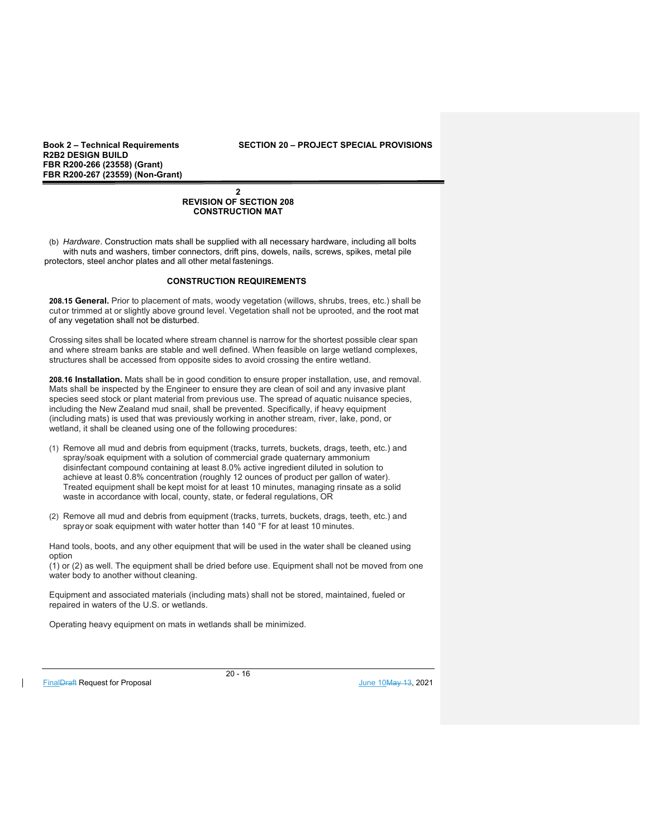**Book 2 – Technical Requirements SECTION 20 – PROJECT SPECIAL PROVISIONS** 

## **2 REVISION OF SECTION 208 CONSTRUCTION MAT**

(b) *Hardware*. Construction mats shall be supplied with all necessary hardware, including all bolts with nuts and washers, timber connectors, drift pins, dowels, nails, screws, spikes, metal pile protectors, steel anchor plates and all other metal fastenings.

## **CONSTRUCTION REQUIREMENTS**

**208.15 General.** Prior to placement of mats, woody vegetation (willows, shrubs, trees, etc.) shall be cut or trimmed at or slightly above ground level. Vegetation shall not be uprooted, and the root mat of any vegetation shall not be disturbed.

Crossing sites shall be located where stream channel is narrow for the shortest possible clear span and where stream banks are stable and well defined. When feasible on large wetland complexes, structures shall be accessed from opposite sides to avoid crossing the entire wetland.

**208.16 Installation.** Mats shall be in good condition to ensure proper installation, use, and removal. Mats shall be inspected by the Engineer to ensure they are clean of soil and any invasive plant species seed stock or plant material from previous use. The spread of aquatic nuisance species, including the New Zealand mud snail, shall be prevented. Specifically, if heavy equipment (including mats) is used that was previously working in another stream, river, lake, pond, or wetland, it shall be cleaned using one of the following procedures:

- (1) Remove all mud and debris from equipment (tracks, turrets, buckets, drags, teeth, etc.) and spray/soak equipment with a solution of commercial grade quaternary ammonium disinfectant compound containing at least 8.0% active ingredient diluted in solution to achieve at least 0.8% concentration (roughly 12 ounces of product per gallon of water). Treated equipment shall be kept moist for at least 10 minutes, managing rinsate as a solid waste in accordance with local, county, state, or federal regulations, OR
- (2) Remove all mud and debris from equipment (tracks, turrets, buckets, drags, teeth, etc.) and spray or soak equipment with water hotter than 140 °F for at least 10 minutes.

Hand tools, boots, and any other equipment that will be used in the water shall be cleaned using option

(1) or (2) as well. The equipment shall be dried before use. Equipment shall not be moved from one water body to another without cleaning.

Equipment and associated materials (including mats) shall not be stored, maintained, fueled or repaired in waters of the U.S. or wetlands.

Operating heavy equipment on mats in wetlands shall be minimized.

FinalDraft Request for Proposal and the set of the set of the set of the set of the set of the set of the set of the set of the set of the set of the set of the set of the set of the set of the set of the set of the set of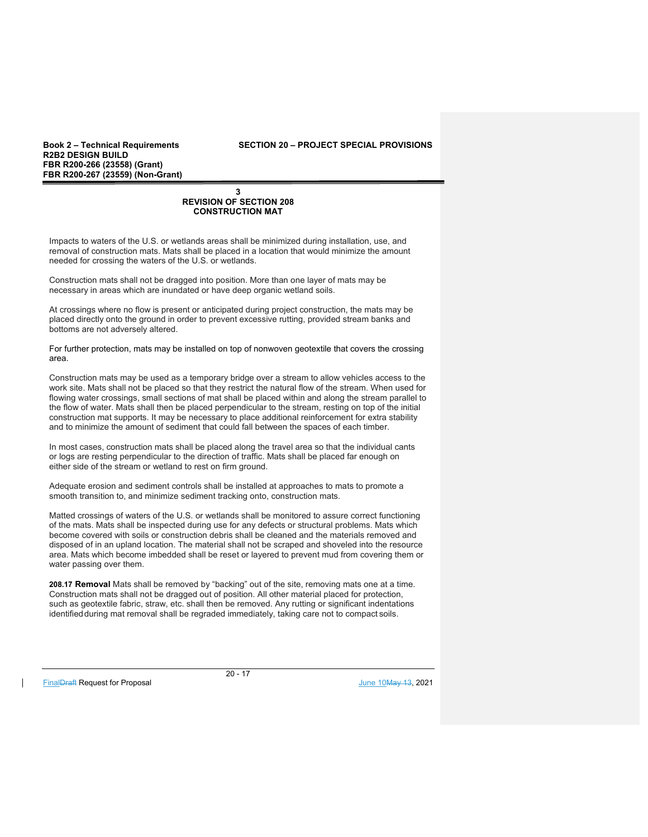**Book 2 – Technical Requirements SECTION 20 – PROJECT SPECIAL PROVISIONS** 

## **3 REVISION OF SECTION 208 CONSTRUCTION MAT**

Impacts to waters of the U.S. or wetlands areas shall be minimized during installation, use, and removal of construction mats. Mats shall be placed in a location that would minimize the amount needed for crossing the waters of the U.S. or wetlands.

Construction mats shall not be dragged into position. More than one layer of mats may be necessary in areas which are inundated or have deep organic wetland soils.

At crossings where no flow is present or anticipated during project construction, the mats may be placed directly onto the ground in order to prevent excessive rutting, provided stream banks and bottoms are not adversely altered.

For further protection, mats may be installed on top of nonwoven geotextile that covers the crossing area.

Construction mats may be used as a temporary bridge over a stream to allow vehicles access to the work site. Mats shall not be placed so that they restrict the natural flow of the stream. When used for flowing water crossings, small sections of mat shall be placed within and along the stream parallel to the flow of water. Mats shall then be placed perpendicular to the stream, resting on top of the initial construction mat supports. It may be necessary to place additional reinforcement for extra stability and to minimize the amount of sediment that could fall between the spaces of each timber.

In most cases, construction mats shall be placed along the travel area so that the individual cants or logs are resting perpendicular to the direction of traffic. Mats shall be placed far enough on either side of the stream or wetland to rest on firm ground.

Adequate erosion and sediment controls shall be installed at approaches to mats to promote a smooth transition to, and minimize sediment tracking onto, construction mats.

Matted crossings of waters of the U.S. or wetlands shall be monitored to assure correct functioning of the mats. Mats shall be inspected during use for any defects or structural problems. Mats which become covered with soils or construction debris shall be cleaned and the materials removed and disposed of in an upland location. The material shall not be scraped and shoveled into the resource area. Mats which become imbedded shall be reset or layered to prevent mud from covering them or water passing over them.

**208.17 Removal** Mats shall be removed by "backing" out of the site, removing mats one at a time. Construction mats shall not be dragged out of position. All other material placed for protection, such as geotextile fabric, straw, etc. shall then be removed. Any rutting or significant indentations identified during mat removal shall be regraded immediately, taking care not to compact soils.

FinalDraft Request for Proposal and the set of the set of the set of the set of the set of the set of the set of the set of the set of the set of the set of the set of the set of the set of the set of the set of the set of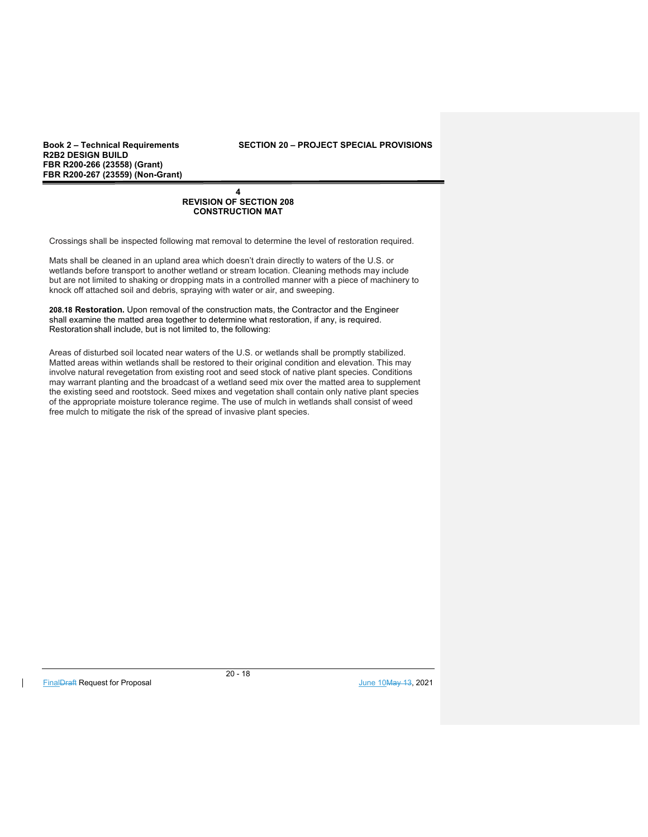**Book 2 – Technical Requirements SECTION 20 – PROJECT SPECIAL PROVISIONS** 

#### **4 REVISION OF SECTION 208 CONSTRUCTION MAT**

Crossings shall be inspected following mat removal to determine the level of restoration required.

Mats shall be cleaned in an upland area which doesn't drain directly to waters of the U.S. or wetlands before transport to another wetland or stream location. Cleaning methods may include but are not limited to shaking or dropping mats in a controlled manner with a piece of machinery to knock off attached soil and debris, spraying with water or air, and sweeping.

**208.18 Restoration.** Upon removal of the construction mats, the Contractor and the Engineer shall examine the matted area together to determine what restoration, if any, is required. Restoration shall include, but is not limited to, the following:

Areas of disturbed soil located near waters of the U.S. or wetlands shall be promptly stabilized. Matted areas within wetlands shall be restored to their original condition and elevation. This may involve natural revegetation from existing root and seed stock of native plant species. Conditions may warrant planting and the broadcast of a wetland seed mix over the matted area to supplement the existing seed and rootstock. Seed mixes and vegetation shall contain only native plant species of the appropriate moisture tolerance regime. The use of mulch in wetlands shall consist of weed free mulch to mitigate the risk of the spread of invasive plant species.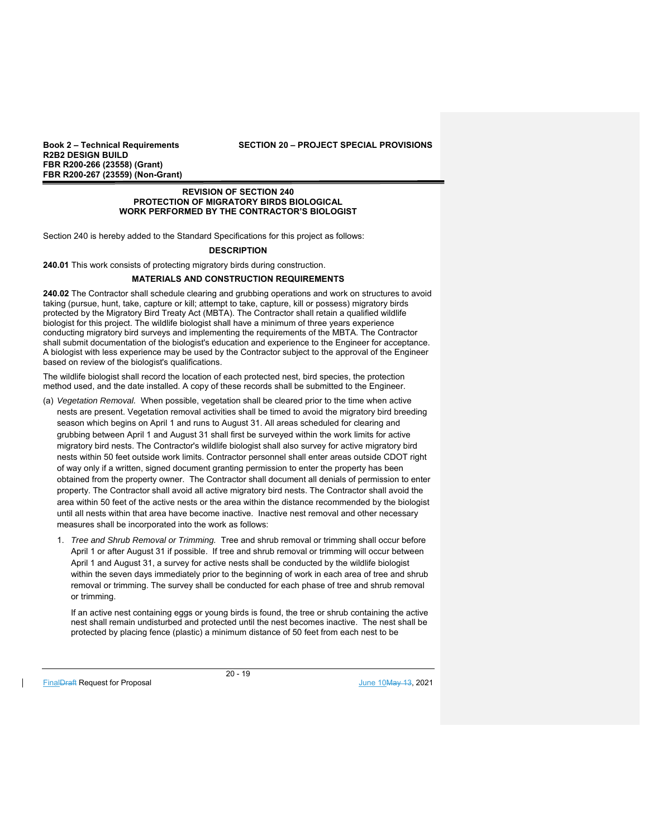#### **Book 2 – Technical Requirements SECTION 20 – PROJECT SPECIAL PROVISIONS**

#### **REVISION OF SECTION 240 PROTECTION OF MIGRATORY BIRDS BIOLOGICAL WORK PERFORMED BY THE CONTRACTOR'S BIOLOGIST**

Section 240 is hereby added to the Standard Specifications for this project as follows:

## **DESCRIPTION**

**240.01** This work consists of protecting migratory birds during construction.

## **MATERIALS AND CONSTRUCTION REQUIREMENTS**

**240.02** The Contractor shall schedule clearing and grubbing operations and work on structures to avoid taking (pursue, hunt, take, capture or kill; attempt to take, capture, kill or possess) migratory birds protected by the Migratory Bird Treaty Act (MBTA). The Contractor shall retain a qualified wildlife biologist for this project. The wildlife biologist shall have a minimum of three years experience conducting migratory bird surveys and implementing the requirements of the MBTA. The Contractor shall submit documentation of the biologist's education and experience to the Engineer for acceptance. A biologist with less experience may be used by the Contractor subject to the approval of the Engineer based on review of the biologist's qualifications.

The wildlife biologist shall record the location of each protected nest, bird species, the protection method used, and the date installed. A copy of these records shall be submitted to the Engineer.

- (a) *Vegetation Removal.* When possible, vegetation shall be cleared prior to the time when active nests are present. Vegetation removal activities shall be timed to avoid the migratory bird breeding season which begins on April 1 and runs to August 31. All areas scheduled for clearing and grubbing between April 1 and August 31 shall first be surveyed within the work limits for active migratory bird nests. The Contractor's wildlife biologist shall also survey for active migratory bird nests within 50 feet outside work limits. Contractor personnel shall enter areas outside CDOT right of way only if a written, signed document granting permission to enter the property has been obtained from the property owner. The Contractor shall document all denials of permission to enter property. The Contractor shall avoid all active migratory bird nests. The Contractor shall avoid the area within 50 feet of the active nests or the area within the distance recommended by the biologist until all nests within that area have become inactive. Inactive nest removal and other necessary measures shall be incorporated into the work as follows:
	- 1. *Tree and Shrub Removal or Trimming.* Tree and shrub removal or trimming shall occur before April 1 or after August 31 if possible. If tree and shrub removal or trimming will occur between April 1 and August 31, a survey for active nests shall be conducted by the wildlife biologist within the seven days immediately prior to the beginning of work in each area of tree and shrub removal or trimming. The survey shall be conducted for each phase of tree and shrub removal or trimming.

If an active nest containing eggs or young birds is found, the tree or shrub containing the active nest shall remain undisturbed and protected until the nest becomes inactive. The nest shall be protected by placing fence (plastic) a minimum distance of 50 feet from each nest to be

FinalDraft Request for Proposal and the set of the set of the set of the set of the set of the set of the set of the set of the set of the set of the set of the set of the set of the set of the set of the set of the set of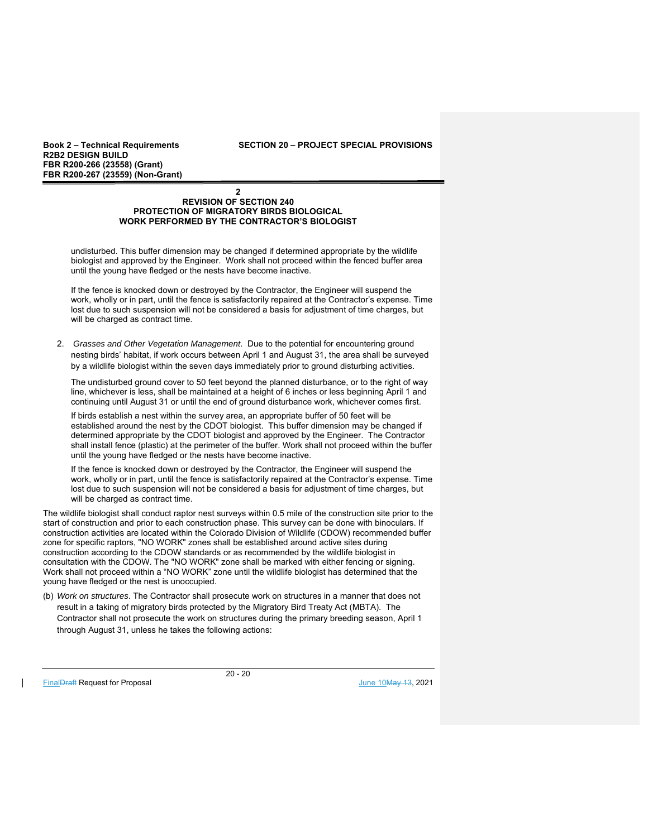**Book 2 – Technical Requirements SECTION 20 – PROJECT SPECIAL PROVISIONS** 

#### **2 REVISION OF SECTION 240 PROTECTION OF MIGRATORY BIRDS BIOLOGICAL WORK PERFORMED BY THE CONTRACTOR'S BIOLOGIST**

undisturbed. This buffer dimension may be changed if determined appropriate by the wildlife biologist and approved by the Engineer. Work shall not proceed within the fenced buffer area until the young have fledged or the nests have become inactive.

If the fence is knocked down or destroyed by the Contractor, the Engineer will suspend the work, wholly or in part, until the fence is satisfactorily repaired at the Contractor's expense. Time lost due to such suspension will not be considered a basis for adjustment of time charges, but will be charged as contract time.

2. *Grasses and Other Vegetation Management*. Due to the potential for encountering ground nesting birds' habitat, if work occurs between April 1 and August 31, the area shall be surveyed by a wildlife biologist within the seven days immediately prior to ground disturbing activities.

The undisturbed ground cover to 50 feet beyond the planned disturbance, or to the right of way line, whichever is less, shall be maintained at a height of 6 inches or less beginning April 1 and continuing until August 31 or until the end of ground disturbance work, whichever comes first.

If birds establish a nest within the survey area, an appropriate buffer of 50 feet will be established around the nest by the CDOT biologist. This buffer dimension may be changed if determined appropriate by the CDOT biologist and approved by the Engineer. The Contractor shall install fence (plastic) at the perimeter of the buffer. Work shall not proceed within the buffer until the young have fledged or the nests have become inactive.

If the fence is knocked down or destroyed by the Contractor, the Engineer will suspend the work, wholly or in part, until the fence is satisfactorily repaired at the Contractor's expense. Time lost due to such suspension will not be considered a basis for adjustment of time charges, but will be charged as contract time.

The wildlife biologist shall conduct raptor nest surveys within 0.5 mile of the construction site prior to the start of construction and prior to each construction phase. This survey can be done with binoculars. If construction activities are located within the Colorado Division of Wildlife (CDOW) recommended buffer zone for specific raptors, "NO WORK" zones shall be established around active sites during construction according to the CDOW standards or as recommended by the wildlife biologist in consultation with the CDOW. The "NO WORK" zone shall be marked with either fencing or signing. Work shall not proceed within a "NO WORK" zone until the wildlife biologist has determined that the young have fledged or the nest is unoccupied.

(b) *Work on structures*. The Contractor shall prosecute work on structures in a manner that does not result in a taking of migratory birds protected by the Migratory Bird Treaty Act (MBTA). The Contractor shall not prosecute the work on structures during the primary breeding season, April 1 through August 31, unless he takes the following actions:

FinalDraft Request for Proposal and the set of the set of the set of the set of the set of the set of the set of the set of the set of the set of the set of the set of the set of the set of the set of the set of the set of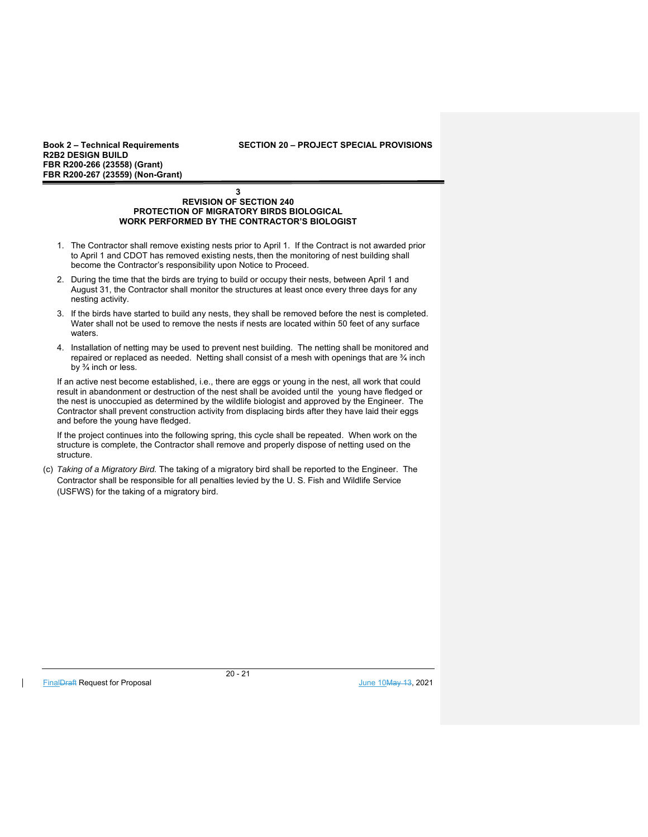#### **Book 2 – Technical Requirements SECTION 20 – PROJECT SPECIAL PROVISIONS**

#### **3 REVISION OF SECTION 240 PROTECTION OF MIGRATORY BIRDS BIOLOGICAL WORK PERFORMED BY THE CONTRACTOR'S BIOLOGIST**

- 1. The Contractor shall remove existing nests prior to April 1. If the Contract is not awarded prior to April 1 and CDOT has removed existing nests, then the monitoring of nest building shall become the Contractor's responsibility upon Notice to Proceed.
- 2. During the time that the birds are trying to build or occupy their nests, between April 1 and August 31, the Contractor shall monitor the structures at least once every three days for any nesting activity.
- 3. If the birds have started to build any nests, they shall be removed before the nest is completed. Water shall not be used to remove the nests if nests are located within 50 feet of any surface waters.
- 4. Installation of netting may be used to prevent nest building. The netting shall be monitored and repaired or replaced as needed. Netting shall consist of a mesh with openings that are ¾ inch by ¾ inch or less.

If an active nest become established, i.e., there are eggs or young in the nest, all work that could result in abandonment or destruction of the nest shall be avoided until the young have fledged or the nest is unoccupied as determined by the wildlife biologist and approved by the Engineer. The Contractor shall prevent construction activity from displacing birds after they have laid their eggs and before the young have fledged.

If the project continues into the following spring, this cycle shall be repeated. When work on the structure is complete, the Contractor shall remove and properly dispose of netting used on the structure.

(c) *Taking of a Migratory Bird.* The taking of a migratory bird shall be reported to the Engineer. The Contractor shall be responsible for all penalties levied by the U. S. Fish and Wildlife Service (USFWS) for the taking of a migratory bird.

FinalDraft Request for Proposal June 10May 13, 2021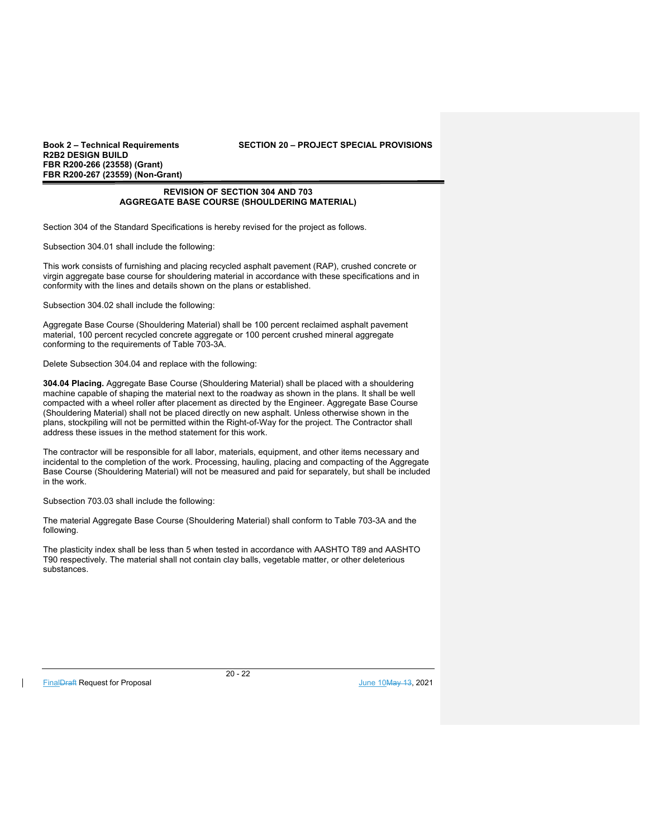## **Book 2 – Technical Requirements SECTION 20 – PROJECT SPECIAL PROVISIONS**

## **REVISION OF SECTION 304 AND 703 AGGREGATE BASE COURSE (SHOULDERING MATERIAL)**

Section 304 of the Standard Specifications is hereby revised for the project as follows.

Subsection 304.01 shall include the following:

This work consists of furnishing and placing recycled asphalt pavement (RAP), crushed concrete or virgin aggregate base course for shouldering material in accordance with these specifications and in conformity with the lines and details shown on the plans or established.

Subsection 304.02 shall include the following:

Aggregate Base Course (Shouldering Material) shall be 100 percent reclaimed asphalt pavement material, 100 percent recycled concrete aggregate or 100 percent crushed mineral aggregate conforming to the requirements of Table 703-3A.

Delete Subsection 304.04 and replace with the following:

**304.04 Placing.** Aggregate Base Course (Shouldering Material) shall be placed with a shouldering machine capable of shaping the material next to the roadway as shown in the plans. It shall be well compacted with a wheel roller after placement as directed by the Engineer. Aggregate Base Course (Shouldering Material) shall not be placed directly on new asphalt. Unless otherwise shown in the plans, stockpiling will not be permitted within the Right-of-Way for the project. The Contractor shall address these issues in the method statement for this work.

The contractor will be responsible for all labor, materials, equipment, and other items necessary and incidental to the completion of the work. Processing, hauling, placing and compacting of the Aggregate Base Course (Shouldering Material) will not be measured and paid for separately, but shall be included in the work.

Subsection 703.03 shall include the following:

The material Aggregate Base Course (Shouldering Material) shall conform to Table 703-3A and the following.

The plasticity index shall be less than 5 when tested in accordance with AASHTO T89 and AASHTO T90 respectively. The material shall not contain clay balls, vegetable matter, or other deleterious substances.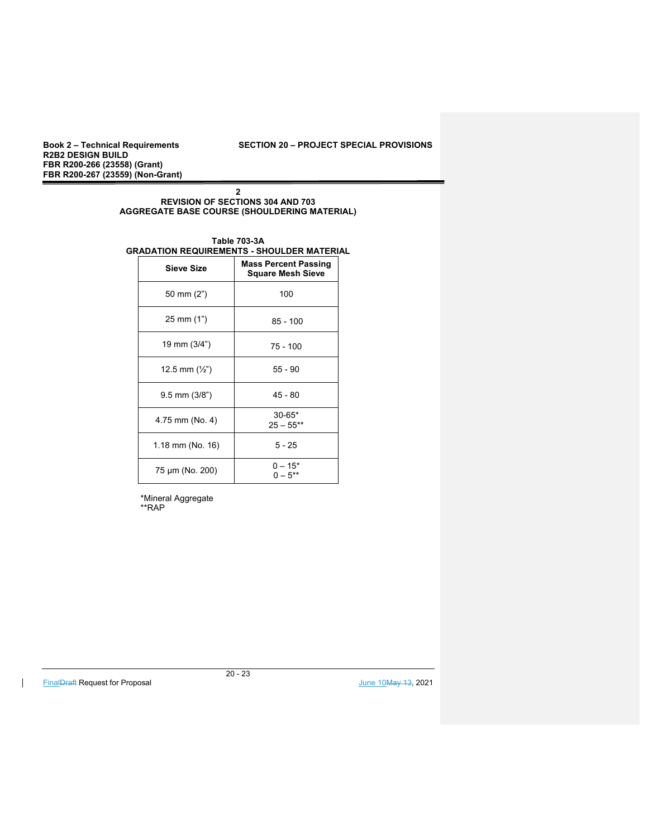**R2B2 DESIGN BUILD FBR R200-266 (23558) (Grant) FBR R200-267 (23559) (Non-Grant)** 

## **2 REVISION OF SECTIONS 304 AND 703 AGGREGATE BASE COURSE (SHOULDERING MATERIAL)**

#### **Table 703-3A GRADATION REQUIREMENTS - SHOULDER MATERIAL**

| <b>Sieve Size</b>       | <b>Mass Percent Passing</b><br><b>Square Mesh Sieve</b> |  |
|-------------------------|---------------------------------------------------------|--|
| 50 mm (2")              | 100                                                     |  |
| 25 mm (1")              | $85 - 100$                                              |  |
| 19 mm (3/4")            | $75 - 100$                                              |  |
| 12.5 mm $(\frac{1}{2})$ | $55 - 90$                                               |  |
| $9.5$ mm $(3/8")$       | $45 - 80$                                               |  |
| 4.75 mm (No. 4)         | $30 - 65*$<br>$25 - 55***$                              |  |
| 1.18 mm (No. 16)        | $5 - 25$                                                |  |
| 75 µm (No. 200)         | $0 - 15*$<br>$0 - 5^{**}$                               |  |

 \*Mineral Aggregate \*\*RAP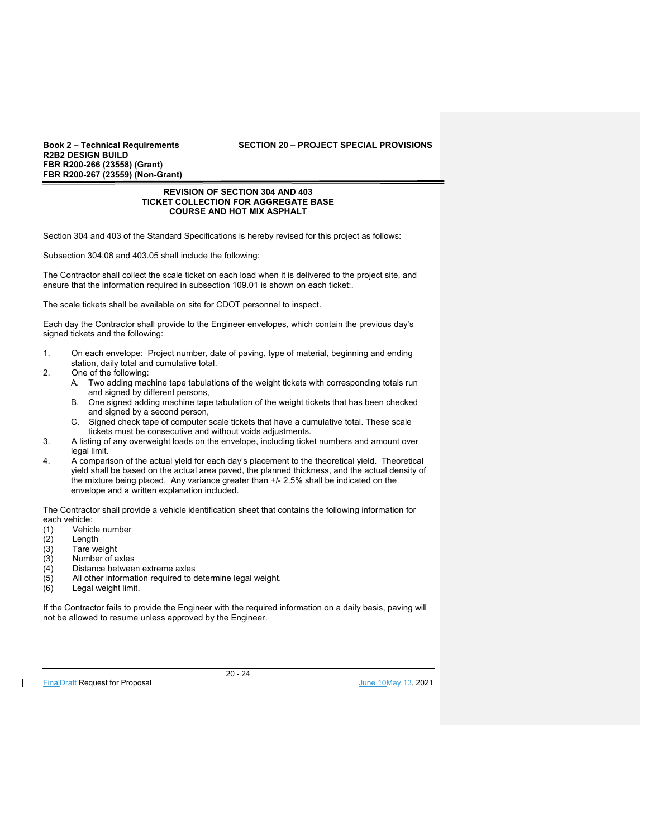**R2B2 DESIGN BUILD FBR R200-266 (23558) (Grant) FBR R200-267 (23559) (Non-Grant)** 

#### **REVISION OF SECTION 304 AND 403 TICKET COLLECTION FOR AGGREGATE BASE COURSE AND HOT MIX ASPHALT**

Section 304 and 403 of the Standard Specifications is hereby revised for this project as follows:

Subsection 304.08 and 403.05 shall include the following:

The Contractor shall collect the scale ticket on each load when it is delivered to the project site, and ensure that the information required in subsection 109.01 is shown on each ticket:.

The scale tickets shall be available on site for CDOT personnel to inspect.

Each day the Contractor shall provide to the Engineer envelopes, which contain the previous day's signed tickets and the following:

- 1. On each envelope: Project number, date of paving, type of material, beginning and ending station, daily total and cumulative total.
- 2. One of the following:
	- A. Two adding machine tape tabulations of the weight tickets with corresponding totals run and signed by different persons,
	- B. One signed adding machine tape tabulation of the weight tickets that has been checked and signed by a second person,
	- C. Signed check tape of computer scale tickets that have a cumulative total. These scale tickets must be consecutive and without voids adjustments.
- 3. A listing of any overweight loads on the envelope, including ticket numbers and amount over legal limit.
- 4. A comparison of the actual yield for each day's placement to the theoretical yield. Theoretical yield shall be based on the actual area paved, the planned thickness, and the actual density of the mixture being placed. Any variance greater than +/- 2.5% shall be indicated on the envelope and a written explanation included.

The Contractor shall provide a vehicle identification sheet that contains the following information for each vehicle:

- (1) Vehicle number
- Length
- (3) Tare weight
- (3) Number of axles
- $(4)$  Distance between extreme axles<br>(5) All other information required to d
- All other information required to determine legal weight.
- (6) Legal weight limit.

If the Contractor fails to provide the Engineer with the required information on a daily basis, paving will not be allowed to resume unless approved by the Engineer.

FinalDraft Request for Proposal June 10May 13, 2021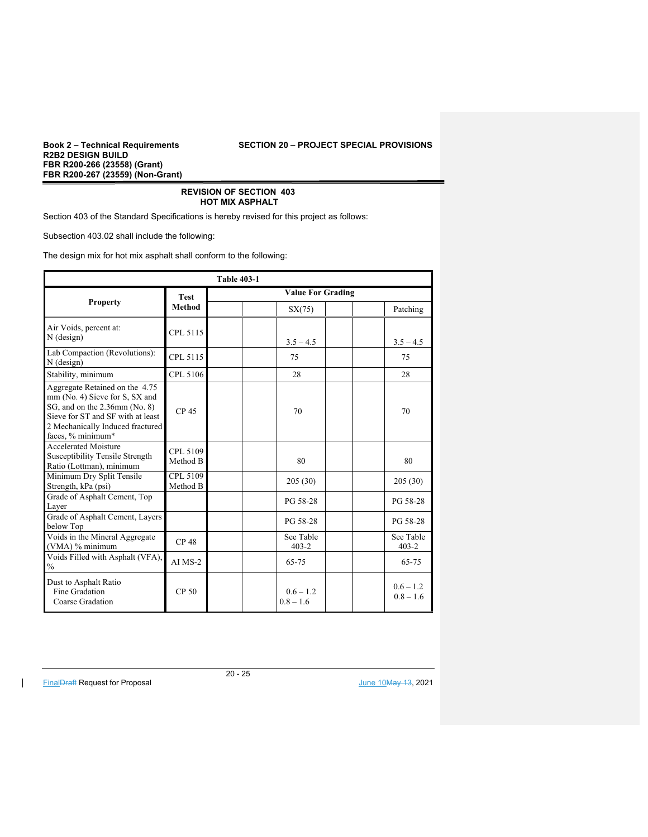**R2B2 DESIGN BUILD FBR R200-266 (23558) (Grant) FBR R200-267 (23559) (Non-Grant)** 

## **REVISION OF SECTION 403 HOT MIX ASPHALT**

Section 403 of the Standard Specifications is hereby revised for this project as follows:

Subsection 403.02 shall include the following:

The design mix for hot mix asphalt shall conform to the following:

| <b>Table 403-1</b>                                                                                                                                                                              |                      |                          |                            |  |                            |
|-------------------------------------------------------------------------------------------------------------------------------------------------------------------------------------------------|----------------------|--------------------------|----------------------------|--|----------------------------|
|                                                                                                                                                                                                 | <b>Test</b>          | <b>Value For Grading</b> |                            |  |                            |
| <b>Property</b>                                                                                                                                                                                 | <b>Method</b>        |                          | SX(75)                     |  | Patching                   |
| Air Voids, percent at:<br>$N$ (design)                                                                                                                                                          | CPL 5115             |                          | $3.5 - 4.5$                |  | $3.5 - 4.5$                |
| Lab Compaction (Revolutions):<br>$N$ (design)                                                                                                                                                   | CPL 5115             |                          | 75                         |  | 75                         |
| Stability, minimum                                                                                                                                                                              | CPL 5106             |                          | 28                         |  | 28                         |
| Aggregate Retained on the 4.75<br>mm (No. 4) Sieve for S, SX and<br>SG, and on the 2.36mm (No. 8)<br>Sieve for ST and SF with at least<br>2 Mechanically Induced fractured<br>faces, % minimum* | CP <sub>45</sub>     |                          | 70                         |  | 70                         |
| <b>Accelerated Moisture</b><br>Susceptibility Tensile Strength<br>Ratio (Lottman), minimum                                                                                                      | CPL 5109<br>Method B |                          | 80                         |  | 80                         |
| Minimum Dry Split Tensile<br>Strength, kPa (psi)                                                                                                                                                | CPL 5109<br>Method B |                          | 205(30)                    |  | 205 (30)                   |
| Grade of Asphalt Cement, Top<br>Layer                                                                                                                                                           |                      |                          | PG 58-28                   |  | PG 58-28                   |
| Grade of Asphalt Cement, Layers<br>below Top                                                                                                                                                    |                      |                          | PG 58-28                   |  | PG 58-28                   |
| Voids in the Mineral Aggregate<br>(VMA) % minimum                                                                                                                                               | <b>CP48</b>          |                          | See Table<br>$403 - 2$     |  | See Table<br>$403 - 2$     |
| Voids Filled with Asphalt (VFA),<br>$\%$                                                                                                                                                        | $AI$ $MS-2$          |                          | 65-75                      |  | 65-75                      |
| Dust to Asphalt Ratio<br>Fine Gradation<br>Coarse Gradation                                                                                                                                     | CP <sub>50</sub>     |                          | $0.6 - 1.2$<br>$0.8 - 1.6$ |  | $0.6 - 1.2$<br>$0.8 - 1.6$ |

FinalDraft Request for Proposal June 10May 13, 2021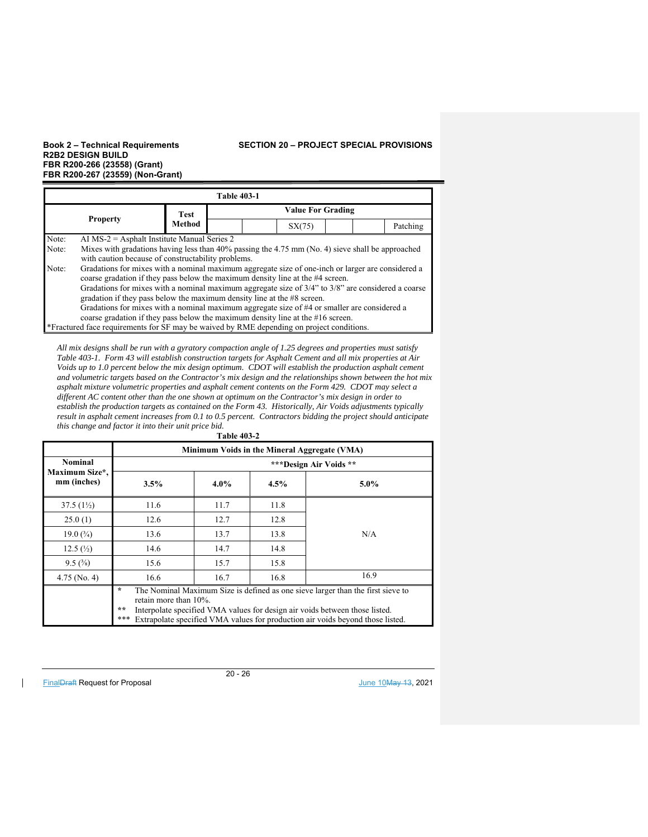## **Book 2 – Technical Requirements SECTION 20 – PROJECT SPECIAL PROVISIONS**

| <b>Table 403-1</b>                                                                                                                                                                                                                                                                                                                                                                  |  |               |                          |        |          |  |
|-------------------------------------------------------------------------------------------------------------------------------------------------------------------------------------------------------------------------------------------------------------------------------------------------------------------------------------------------------------------------------------|--|---------------|--------------------------|--------|----------|--|
| <b>Property</b>                                                                                                                                                                                                                                                                                                                                                                     |  | Test          | <b>Value For Grading</b> |        |          |  |
|                                                                                                                                                                                                                                                                                                                                                                                     |  | <b>Method</b> |                          | SX(75) | Patching |  |
| Note:<br>AI $MS-2$ = Asphalt Institute Manual Series 2<br>Note:<br>Mixes with gradations having less than 40% passing the 4.75 mm (No. 4) sieve shall be approached<br>with caution because of constructability problems.                                                                                                                                                           |  |               |                          |        |          |  |
| Gradations for mixes with a nominal maximum aggregate size of one-inch or larger are considered a<br>Note:<br>coarse gradation if they pass below the maximum density line at the #4 screen.<br>Gradations for mixes with a nominal maximum aggregate size of $3/4$ " to $3/8$ " are considered a coarse<br>gradation if they pass below the maximum density line at the #8 screen. |  |               |                          |        |          |  |
| Gradations for mixes with a nominal maximum aggregate size of #4 or smaller are considered a<br>coarse gradation if they pass below the maximum density line at the $#16$ screen.<br>*Fractured face requirements for SF may be waived by RME depending on project conditions.                                                                                                      |  |               |                          |        |          |  |

*All mix designs shall be run with a gyratory compaction angle of 1.25 degrees and properties must satisfy Table 403-1. Form 43 will establish construction targets for Asphalt Cement and all mix properties at Air Voids up to 1.0 percent below the mix design optimum. CDOT will establish the production asphalt cement and volumetric targets based on the Contractor's mix design and the relationships shown between the hot mix asphalt mixture volumetric properties and asphalt cement contents on the Form 429. CDOT may select a different AC content other than the one shown at optimum on the Contractor's mix design in order to establish the production targets as contained on the Form 43. Historically, Air Voids adjustments typically result in asphalt cement increases from 0.1 to 0.5 percent. Contractors bidding the project should anticipate this change and factor it into their unit price bid.*  **Table 403-2** 

| Minimum Voids in the Mineral Aggregate (VMA)    |                                                                                                                                                                                                                                                                                                       |         |      |         |  |
|-------------------------------------------------|-------------------------------------------------------------------------------------------------------------------------------------------------------------------------------------------------------------------------------------------------------------------------------------------------------|---------|------|---------|--|
| <b>Nominal</b><br>Maximum Size*,<br>mm (inches) | ***Design Air Voids **                                                                                                                                                                                                                                                                                |         |      |         |  |
|                                                 | 3.5%                                                                                                                                                                                                                                                                                                  | $4.0\%$ | 4.5% | $5.0\%$ |  |
| $37.5(1\%)$                                     | 11.6                                                                                                                                                                                                                                                                                                  | 11.7    | 11.8 |         |  |
| 25.0(1)                                         | 12.6                                                                                                                                                                                                                                                                                                  | 12.7    | 12.8 |         |  |
| 19.0 $(3/4)$                                    | 13.6                                                                                                                                                                                                                                                                                                  | 13.7    | 13.8 | N/A     |  |
| 12.5(1/2)                                       | 14.6                                                                                                                                                                                                                                                                                                  | 14.7    | 14.8 |         |  |
| $9.5\,(^{3}\%)$                                 | 15.6                                                                                                                                                                                                                                                                                                  | 15.7    | 15.8 |         |  |
| $4.75$ (No. 4)                                  | 16.6                                                                                                                                                                                                                                                                                                  | 16.7    | 16.8 | 16.9    |  |
|                                                 | $\star$<br>The Nominal Maximum Size is defined as one sieve larger than the first sieve to<br>retain more than $10\%$ .<br>**<br>Interpolate specified VMA values for design air voids between those listed.<br>***<br>Extrapolate specified VMA values for production air voids beyond those listed. |         |      |         |  |

FinalDraft Request for Proposal June 10May 13, 2021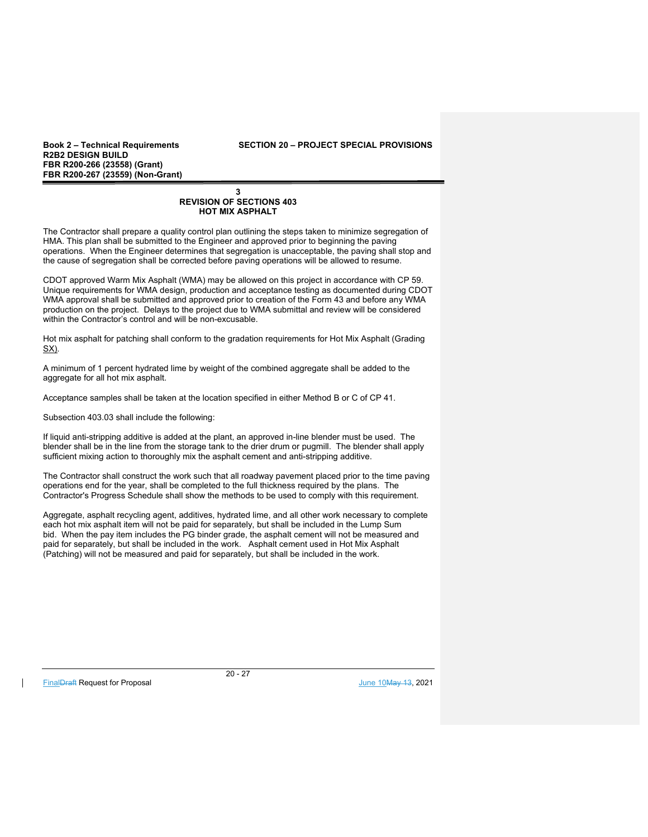**Book 2 – Technical Requirements SECTION 20 – PROJECT SPECIAL PROVISIONS** 

## **3 REVISION OF SECTIONS 403 HOT MIX ASPHALT**

The Contractor shall prepare a quality control plan outlining the steps taken to minimize segregation of HMA. This plan shall be submitted to the Engineer and approved prior to beginning the paving operations. When the Engineer determines that segregation is unacceptable, the paving shall stop and the cause of segregation shall be corrected before paving operations will be allowed to resume.

CDOT approved Warm Mix Asphalt (WMA) may be allowed on this project in accordance with CP 59. Unique requirements for WMA design, production and acceptance testing as documented during CDOT WMA approval shall be submitted and approved prior to creation of the Form 43 and before any WMA production on the project. Delays to the project due to WMA submittal and review will be considered within the Contractor's control and will be non-excusable.

Hot mix asphalt for patching shall conform to the gradation requirements for Hot Mix Asphalt (Grading SX).

A minimum of 1 percent hydrated lime by weight of the combined aggregate shall be added to the aggregate for all hot mix asphalt.

Acceptance samples shall be taken at the location specified in either Method B or C of CP 41.

Subsection 403.03 shall include the following:

If liquid anti-stripping additive is added at the plant, an approved in-line blender must be used. The blender shall be in the line from the storage tank to the drier drum or pugmill. The blender shall apply sufficient mixing action to thoroughly mix the asphalt cement and anti-stripping additive.

The Contractor shall construct the work such that all roadway pavement placed prior to the time paving operations end for the year, shall be completed to the full thickness required by the plans. The Contractor's Progress Schedule shall show the methods to be used to comply with this requirement.

Aggregate, asphalt recycling agent, additives, hydrated lime, and all other work necessary to complete each hot mix asphalt item will not be paid for separately, but shall be included in the Lump Sum bid. When the pay item includes the PG binder grade, the asphalt cement will not be measured and paid for separately, but shall be included in the work. Asphalt cement used in Hot Mix Asphalt (Patching) will not be measured and paid for separately, but shall be included in the work.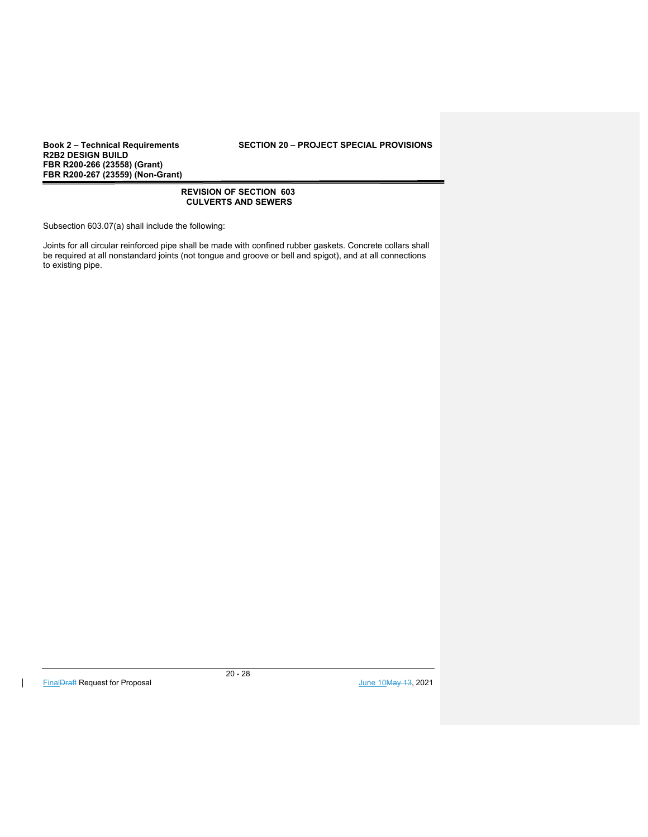## **Book 2 – Technical Requirements SECTION 20 – PROJECT SPECIAL PROVISIONS**

## **REVISION OF SECTION 603 CULVERTS AND SEWERS**

Subsection 603.07(a) shall include the following:

Joints for all circular reinforced pipe shall be made with confined rubber gaskets. Concrete collars shall be required at all nonstandard joints (not tongue and groove or bell and spigot), and at all connections to existing pipe.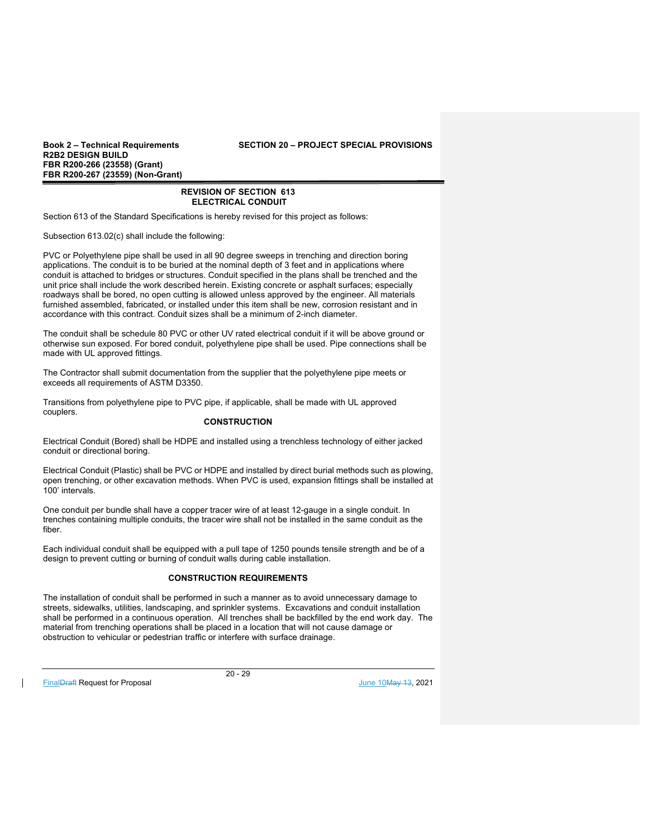**Book 2 – Technical Requirements SECTION 20 – PROJECT SPECIAL PROVISIONS** 

## **REVISION OF SECTION 613 ELECTRICAL CONDUIT**

Section 613 of the Standard Specifications is hereby revised for this project as follows:

Subsection 613.02(c) shall include the following:

PVC or Polyethylene pipe shall be used in all 90 degree sweeps in trenching and direction boring applications. The conduit is to be buried at the nominal depth of 3 feet and in applications where conduit is attached to bridges or structures. Conduit specified in the plans shall be trenched and the unit price shall include the work described herein. Existing concrete or asphalt surfaces; especially roadways shall be bored, no open cutting is allowed unless approved by the engineer. All materials furnished assembled, fabricated, or installed under this item shall be new, corrosion resistant and in accordance with this contract. Conduit sizes shall be a minimum of 2-inch diameter.

The conduit shall be schedule 80 PVC or other UV rated electrical conduit if it will be above ground or otherwise sun exposed. For bored conduit, polyethylene pipe shall be used. Pipe connections shall be made with UL approved fittings.

The Contractor shall submit documentation from the supplier that the polyethylene pipe meets or exceeds all requirements of ASTM D3350.

Transitions from polyethylene pipe to PVC pipe, if applicable, shall be made with UL approved couplers.

## **CONSTRUCTION**

Electrical Conduit (Bored) shall be HDPE and installed using a trenchless technology of either jacked conduit or directional boring.

Electrical Conduit (Plastic) shall be PVC or HDPE and installed by direct burial methods such as plowing, open trenching, or other excavation methods. When PVC is used, expansion fittings shall be installed at 100' intervals.

One conduit per bundle shall have a copper tracer wire of at least 12-gauge in a single conduit. In trenches containing multiple conduits, the tracer wire shall not be installed in the same conduit as the fiber.

Each individual conduit shall be equipped with a pull tape of 1250 pounds tensile strength and be of a design to prevent cutting or burning of conduit walls during cable installation.

## **CONSTRUCTION REQUIREMENTS**

The installation of conduit shall be performed in such a manner as to avoid unnecessary damage to streets, sidewalks, utilities, landscaping, and sprinkler systems. Excavations and conduit installation shall be performed in a continuous operation. All trenches shall be backfilled by the end work day. The material from trenching operations shall be placed in a location that will not cause damage or obstruction to vehicular or pedestrian traffic or interfere with surface drainage.

FinalDraft Request for Proposal and the set of the set of the set of the set of the set of the set of the set of the set of the set of the set of the set of the set of the set of the set of the set of the set of the set of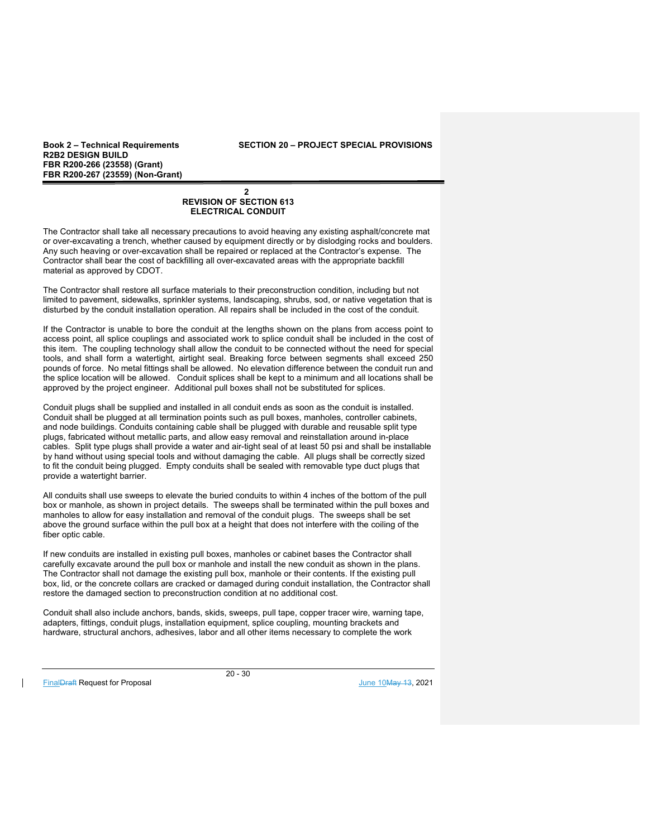**Book 2 – Technical Requirements SECTION 20 – PROJECT SPECIAL PROVISIONS** 

## $\mathbf{2}$ **REVISION OF SECTION 613 ELECTRICAL CONDUIT**

The Contractor shall take all necessary precautions to avoid heaving any existing asphalt/concrete mat or over-excavating a trench, whether caused by equipment directly or by dislodging rocks and boulders. Any such heaving or over-excavation shall be repaired or replaced at the Contractor's expense. The Contractor shall bear the cost of backfilling all over-excavated areas with the appropriate backfill material as approved by CDOT.

The Contractor shall restore all surface materials to their preconstruction condition, including but not limited to pavement, sidewalks, sprinkler systems, landscaping, shrubs, sod, or native vegetation that is disturbed by the conduit installation operation. All repairs shall be included in the cost of the conduit.

If the Contractor is unable to bore the conduit at the lengths shown on the plans from access point to access point, all splice couplings and associated work to splice conduit shall be included in the cost of this item. The coupling technology shall allow the conduit to be connected without the need for special tools, and shall form a watertight, airtight seal. Breaking force between segments shall exceed 250 pounds of force. No metal fittings shall be allowed. No elevation difference between the conduit run and the splice location will be allowed. Conduit splices shall be kept to a minimum and all locations shall be approved by the project engineer. Additional pull boxes shall not be substituted for splices.

Conduit plugs shall be supplied and installed in all conduit ends as soon as the conduit is installed. Conduit shall be plugged at all termination points such as pull boxes, manholes, controller cabinets, and node buildings. Conduits containing cable shall be plugged with durable and reusable split type plugs, fabricated without metallic parts, and allow easy removal and reinstallation around in-place cables. Split type plugs shall provide a water and air-tight seal of at least 50 psi and shall be installable by hand without using special tools and without damaging the cable. All plugs shall be correctly sized to fit the conduit being plugged. Empty conduits shall be sealed with removable type duct plugs that provide a watertight barrier.

All conduits shall use sweeps to elevate the buried conduits to within 4 inches of the bottom of the pull box or manhole, as shown in project details. The sweeps shall be terminated within the pull boxes and manholes to allow for easy installation and removal of the conduit plugs. The sweeps shall be set above the ground surface within the pull box at a height that does not interfere with the coiling of the fiber optic cable.

If new conduits are installed in existing pull boxes, manholes or cabinet bases the Contractor shall carefully excavate around the pull box or manhole and install the new conduit as shown in the plans. The Contractor shall not damage the existing pull box, manhole or their contents. If the existing pull box, lid, or the concrete collars are cracked or damaged during conduit installation, the Contractor shall restore the damaged section to preconstruction condition at no additional cost.

Conduit shall also include anchors, bands, skids, sweeps, pull tape, copper tracer wire, warning tape, adapters, fittings, conduit plugs, installation equipment, splice coupling, mounting brackets and hardware, structural anchors, adhesives, labor and all other items necessary to complete the work

FinalDraft Request for Proposal and the set of the set of the set of the set of the set of the set of the set of the set of the set of the set of the set of the set of the set of the set of the set of the set of the set of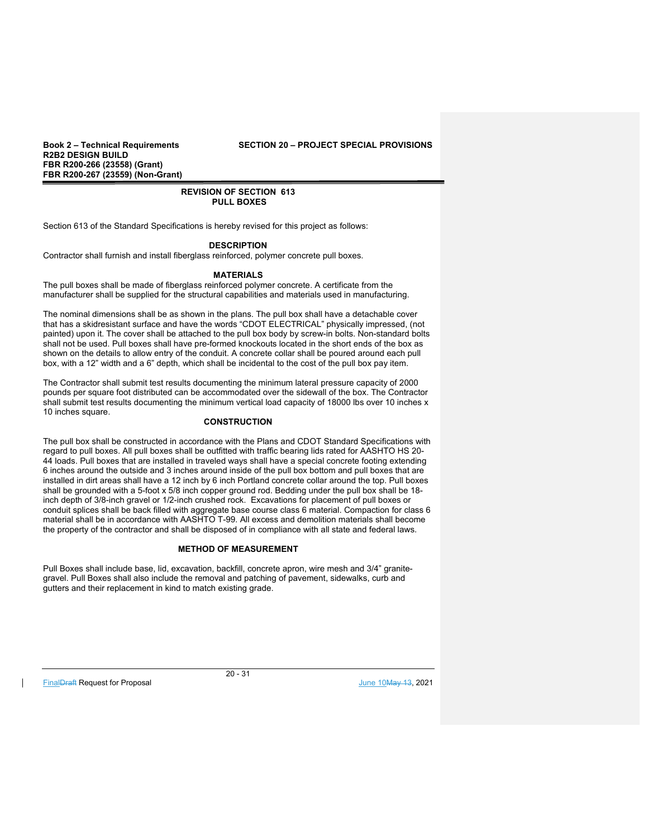**Book 2 – Technical Requirements SECTION 20 – PROJECT SPECIAL PROVISIONS** 

## **REVISION OF SECTION 613 PULL BOXES**

Section 613 of the Standard Specifications is hereby revised for this project as follows:

## **DESCRIPTION**

Contractor shall furnish and install fiberglass reinforced, polymer concrete pull boxes.

## **MATERIALS**

The pull boxes shall be made of fiberglass reinforced polymer concrete. A certificate from the manufacturer shall be supplied for the structural capabilities and materials used in manufacturing.

The nominal dimensions shall be as shown in the plans. The pull box shall have a detachable cover that has a skidresistant surface and have the words "CDOT ELECTRICAL" physically impressed, (not painted) upon it. The cover shall be attached to the pull box body by screw-in bolts. Non-standard bolts shall not be used. Pull boxes shall have pre-formed knockouts located in the short ends of the box as shown on the details to allow entry of the conduit. A concrete collar shall be poured around each pull box, with a 12" width and a 6" depth, which shall be incidental to the cost of the pull box pay item.

The Contractor shall submit test results documenting the minimum lateral pressure capacity of 2000 pounds per square foot distributed can be accommodated over the sidewall of the box. The Contractor shall submit test results documenting the minimum vertical load capacity of 18000 lbs over 10 inches x 10 inches square.

## **CONSTRUCTION**

The pull box shall be constructed in accordance with the Plans and CDOT Standard Specifications with regard to pull boxes. All pull boxes shall be outfitted with traffic bearing lids rated for AASHTO HS 20- 44 loads. Pull boxes that are installed in traveled ways shall have a special concrete footing extending 6 inches around the outside and 3 inches around inside of the pull box bottom and pull boxes that are installed in dirt areas shall have a 12 inch by 6 inch Portland concrete collar around the top. Pull boxes shall be grounded with a 5-foot x 5/8 inch copper ground rod. Bedding under the pull box shall be 18 inch depth of 3/8-inch gravel or 1/2-inch crushed rock. Excavations for placement of pull boxes or conduit splices shall be back filled with aggregate base course class 6 material. Compaction for class 6 material shall be in accordance with AASHTO T-99. All excess and demolition materials shall become the property of the contractor and shall be disposed of in compliance with all state and federal laws.

#### **METHOD OF MEASUREMENT**

Pull Boxes shall include base, lid, excavation, backfill, concrete apron, wire mesh and 3/4" granitegravel. Pull Boxes shall also include the removal and patching of pavement, sidewalks, curb and gutters and their replacement in kind to match existing grade.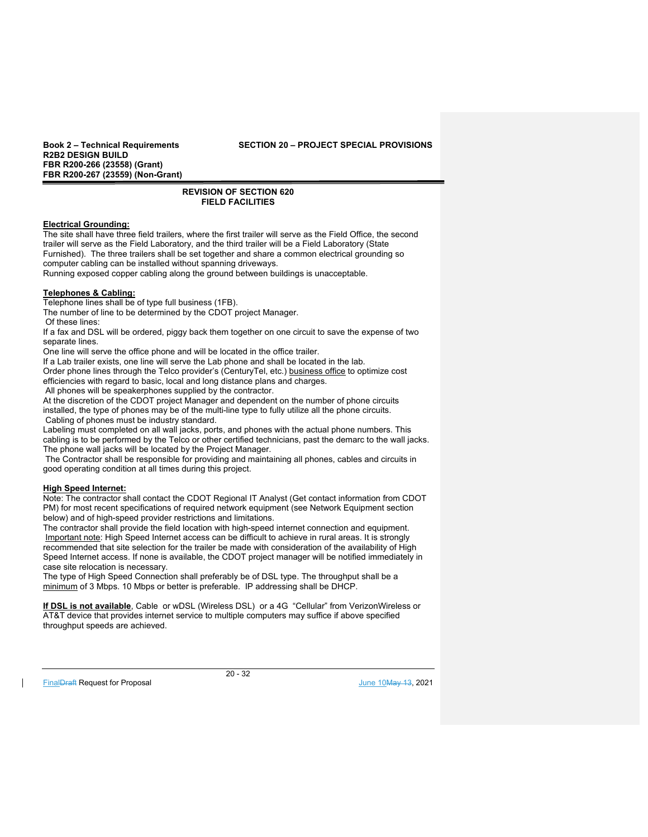**Book 2 – Technical Requirements SECTION 20 – PROJECT SPECIAL PROVISIONS** 

## **REVISION OF SECTION 620 FIELD FACILITIES**

## **Electrical Grounding:**

The site shall have three field trailers, where the first trailer will serve as the Field Office, the second trailer will serve as the Field Laboratory, and the third trailer will be a Field Laboratory (State Furnished). The three trailers shall be set together and share a common electrical grounding so computer cabling can be installed without spanning driveways.

Running exposed copper cabling along the ground between buildings is unacceptable.

## **Telephones & Cabling:**

Telephone lines shall be of type full business (1FB).

The number of line to be determined by the CDOT project Manager.

Of these lines:

If a fax and DSL will be ordered, piggy back them together on one circuit to save the expense of two separate lines.

One line will serve the office phone and will be located in the office trailer.

If a Lab trailer exists, one line will serve the Lab phone and shall be located in the lab.

Order phone lines through the Telco provider's (CenturyTel, etc.) business office to optimize cost efficiencies with regard to basic, local and long distance plans and charges.

All phones will be speakerphones supplied by the contractor.

At the discretion of the CDOT project Manager and dependent on the number of phone circuits installed, the type of phones may be of the multi-line type to fully utilize all the phone circuits. Cabling of phones must be industry standard.

Labeling must completed on all wall jacks, ports, and phones with the actual phone numbers. This cabling is to be performed by the Telco or other certified technicians, past the demarc to the wall jacks. The phone wall jacks will be located by the Project Manager.

 The Contractor shall be responsible for providing and maintaining all phones, cables and circuits in good operating condition at all times during this project.

## **High Speed Internet:**

Note: The contractor shall contact the CDOT Regional IT Analyst (Get contact information from CDOT PM) for most recent specifications of required network equipment (see Network Equipment section below) and of high-speed provider restrictions and limitations.

The contractor shall provide the field location with high-speed internet connection and equipment. Important note: High Speed Internet access can be difficult to achieve in rural areas. It is strongly recommended that site selection for the trailer be made with consideration of the availability of High Speed Internet access. If none is available, the CDOT project manager will be notified immediately in case site relocation is necessary.

The type of High Speed Connection shall preferably be of DSL type. The throughput shall be a minimum of 3 Mbps. 10 Mbps or better is preferable. IP addressing shall be DHCP.

**If DSL is not available**, Cable or wDSL (Wireless DSL) or a 4G "Cellular" from VerizonWireless or AT&T device that provides internet service to multiple computers may suffice if above specified throughput speeds are achieved.

FinalDraft Request for Proposal and the set of the set of the set of the set of the set of the set of the set of the set of the set of the set of the set of the set of the set of the set of the set of the set of the set of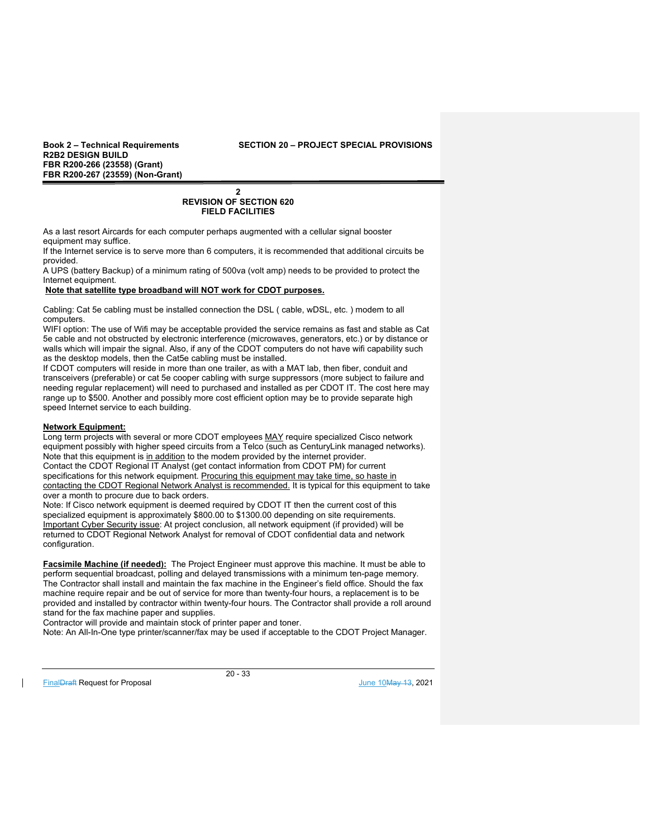#### **Book 2 – Technical Requirements SECTION 20 – PROJECT SPECIAL PROVISIONS**

#### **2 REVISION OF SECTION 620 FIELD FACILITIES**

As a last resort Aircards for each computer perhaps augmented with a cellular signal booster equipment may suffice.

If the Internet service is to serve more than 6 computers, it is recommended that additional circuits be provided.

A UPS (battery Backup) of a minimum rating of 500va (volt amp) needs to be provided to protect the Internet equipment.

## **Note that satellite type broadband will NOT work for CDOT purposes.**

Cabling: Cat 5e cabling must be installed connection the DSL ( cable, wDSL, etc. ) modem to all computers.

WIFI option: The use of Wifi may be acceptable provided the service remains as fast and stable as Cat 5e cable and not obstructed by electronic interference (microwaves, generators, etc.) or by distance or walls which will impair the signal. Also, if any of the CDOT computers do not have wifi capability such as the desktop models, then the Cat5e cabling must be installed.

If CDOT computers will reside in more than one trailer, as with a MAT lab, then fiber, conduit and transceivers (preferable) or cat 5e cooper cabling with surge suppressors (more subject to failure and needing regular replacement) will need to purchased and installed as per CDOT IT. The cost here may range up to \$500. Another and possibly more cost efficient option may be to provide separate high speed Internet service to each building.

#### **Network Equipment:**

Long term projects with several or more CDOT employees MAY require specialized Cisco network equipment possibly with higher speed circuits from a Telco (such as CenturyLink managed networks). Note that this equipment is in addition to the modem provided by the internet provider. Contact the CDOT Regional IT Analyst (get contact information from CDOT PM) for current specifications for this network equipment. Procuring this equipment may take time, so haste in contacting the CDOT Regional Network Analyst is recommended. It is typical for this equipment to take over a month to procure due to back orders.

Note: If Cisco network equipment is deemed required by CDOT IT then the current cost of this specialized equipment is approximately \$800.00 to \$1300.00 depending on site requirements. Important Cyber Security issue: At project conclusion, all network equipment (if provided) will be returned to CDOT Regional Network Analyst for removal of CDOT confidential data and network configuration.

**Facsimile Machine (if needed):** The Project Engineer must approve this machine. It must be able to perform sequential broadcast, polling and delayed transmissions with a minimum ten-page memory. The Contractor shall install and maintain the fax machine in the Engineer's field office. Should the fax machine require repair and be out of service for more than twenty-four hours, a replacement is to be provided and installed by contractor within twenty-four hours. The Contractor shall provide a roll around stand for the fax machine paper and supplies.

Contractor will provide and maintain stock of printer paper and toner.

Note: An All-In-One type printer/scanner/fax may be used if acceptable to the CDOT Project Manager.

FinalDraft Request for Proposal and the set of the set of the set of the set of the set of the set of the set of the set of the set of the set of the set of the set of the set of the set of the set of the set of the set of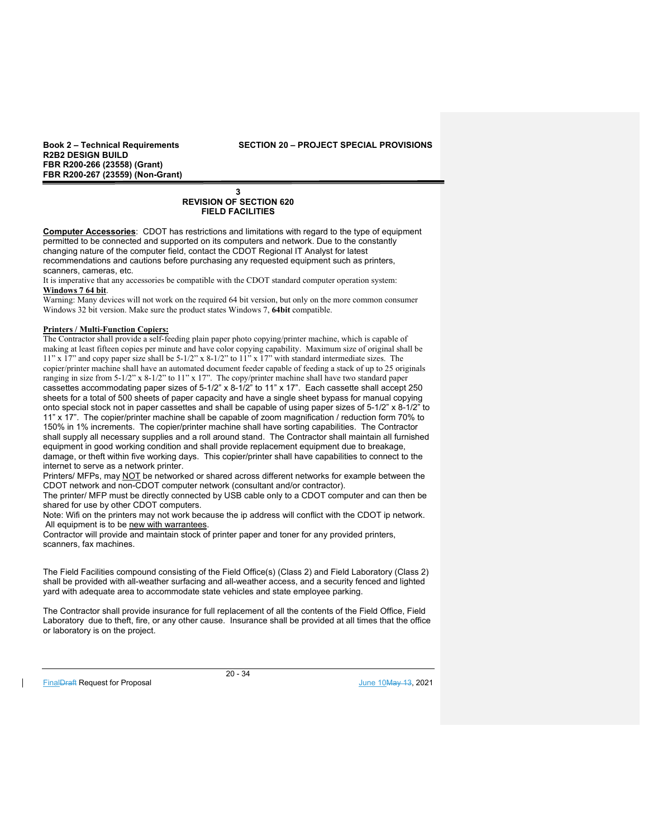**Book 2 – Technical Requirements SECTION 20 – PROJECT SPECIAL PROVISIONS** 

## **3 REVISION OF SECTION 620 FIELD FACILITIES**

**Computer Accessories**: CDOT has restrictions and limitations with regard to the type of equipment permitted to be connected and supported on its computers and network. Due to the constantly changing nature of the computer field, contact the CDOT Regional IT Analyst for latest recommendations and cautions before purchasing any requested equipment such as printers, scanners, cameras, etc.

It is imperative that any accessories be compatible with the CDOT standard computer operation system: **Windows 7 64 bit**.

Warning: Many devices will not work on the required 64 bit version, but only on the more common consumer Windows 32 bit version. Make sure the product states Windows 7, **64bit** compatible.

## **Printers / Multi-Function Copiers:**

The Contractor shall provide a self-feeding plain paper photo copying/printer machine, which is capable of making at least fifteen copies per minute and have color copying capability. Maximum size of original shall be 11" x 17" and copy paper size shall be 5-1/2" x 8-1/2" to 11" x 17" with standard intermediate sizes. The copier/printer machine shall have an automated document feeder capable of feeding a stack of up to 25 originals ranging in size from 5-1/2" x 8-1/2" to 11" x 17". The copy/printer machine shall have two standard paper cassettes accommodating paper sizes of 5-1/2" x 8-1/2" to 11" x 17". Each cassette shall accept 250 sheets for a total of 500 sheets of paper capacity and have a single sheet bypass for manual copying onto special stock not in paper cassettes and shall be capable of using paper sizes of 5-1/2" x 8-1/2" to 11" x 17". The copier/printer machine shall be capable of zoom magnification / reduction form 70% to 150% in 1% increments. The copier/printer machine shall have sorting capabilities. The Contractor shall supply all necessary supplies and a roll around stand. The Contractor shall maintain all furnished equipment in good working condition and shall provide replacement equipment due to breakage, damage, or theft within five working days. This copier/printer shall have capabilities to connect to the internet to serve as a network printer.

Printers/ MFPs, may NOT be networked or shared across different networks for example between the CDOT network and non-CDOT computer network (consultant and/or contractor).

The printer/ MFP must be directly connected by USB cable only to a CDOT computer and can then be shared for use by other CDOT computers.

Note: Wifi on the printers may not work because the ip address will conflict with the CDOT ip network. All equipment is to be new with warrantees.

Contractor will provide and maintain stock of printer paper and toner for any provided printers, scanners, fax machines.

The Field Facilities compound consisting of the Field Office(s) (Class 2) and Field Laboratory (Class 2) shall be provided with all-weather surfacing and all-weather access, and a security fenced and lighted yard with adequate area to accommodate state vehicles and state employee parking.

The Contractor shall provide insurance for full replacement of all the contents of the Field Office, Field Laboratory due to theft, fire, or any other cause. Insurance shall be provided at all times that the office or laboratory is on the project.

FinalDraft Request for Proposal and the set of the set of the set of the set of the set of the set of the set of the set of the set of the set of the set of the set of the set of the set of the set of the set of the set of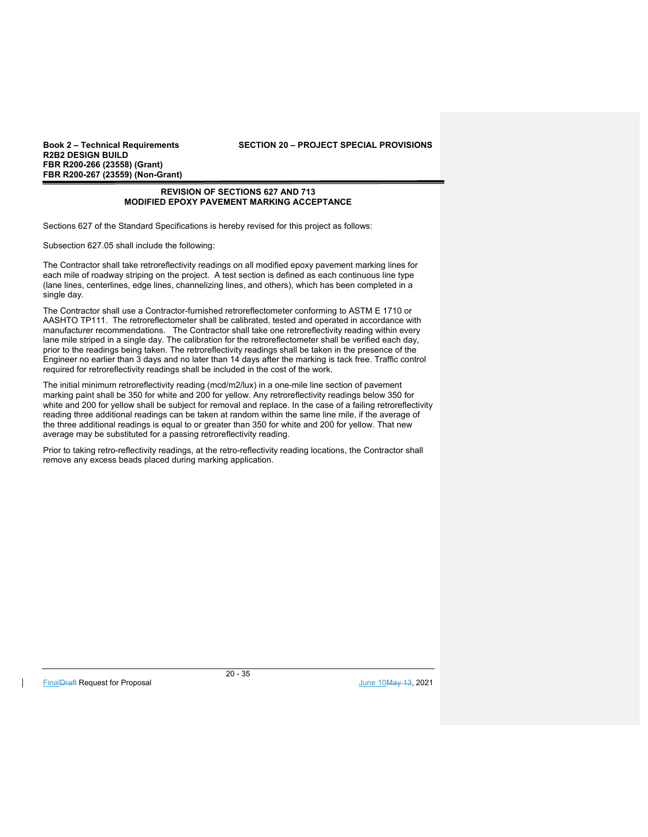**Book 2 – Technical Requirements SECTION 20 – PROJECT SPECIAL PROVISIONS** 

## **REVISION OF SECTIONS 627 AND 713 MODIFIED EPOXY PAVEMENT MARKING ACCEPTANCE**

Sections 627 of the Standard Specifications is hereby revised for this project as follows:

Subsection 627.05 shall include the following:

The Contractor shall take retroreflectivity readings on all modified epoxy pavement marking lines for each mile of roadway striping on the project. A test section is defined as each continuous line type (lane lines, centerlines, edge lines, channelizing lines, and others), which has been completed in a single day.

The Contractor shall use a Contractor-furnished retroreflectometer conforming to ASTM E 1710 or AASHTO TP111. The retroreflectometer shall be calibrated, tested and operated in accordance with manufacturer recommendations. The Contractor shall take one retroreflectivity reading within every lane mile striped in a single day. The calibration for the retroreflectometer shall be verified each day, prior to the readings being taken. The retroreflectivity readings shall be taken in the presence of the Engineer no earlier than 3 days and no later than 14 days after the marking is tack free. Traffic control required for retroreflectivity readings shall be included in the cost of the work.

The initial minimum retroreflectivity reading (mcd/m2/lux) in a one-mile line section of pavement marking paint shall be 350 for white and 200 for yellow. Any retroreflectivity readings below 350 for white and 200 for yellow shall be subject for removal and replace. In the case of a failing retroreflectivity reading three additional readings can be taken at random within the same line mile, if the average of the three additional readings is equal to or greater than 350 for white and 200 for yellow. That new average may be substituted for a passing retroreflectivity reading.

Prior to taking retro-reflectivity readings, at the retro-reflectivity reading locations, the Contractor shall remove any excess beads placed during marking application.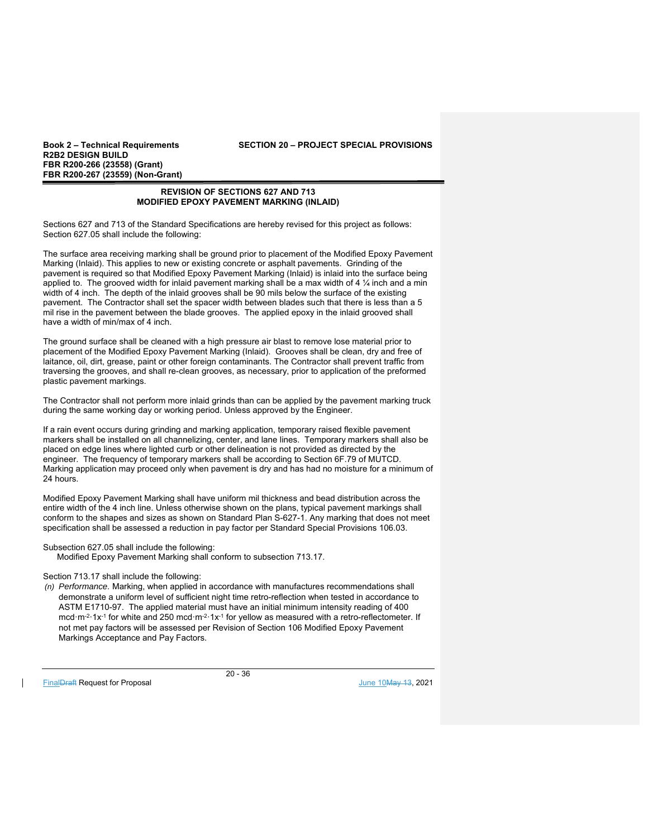**Book 2 – Technical Requirements SECTION 20 – PROJECT SPECIAL PROVISIONS** 

## **REVISION OF SECTIONS 627 AND 713 MODIFIED EPOXY PAVEMENT MARKING (INLAID)**

Sections 627 and 713 of the Standard Specifications are hereby revised for this project as follows: Section 627.05 shall include the following:

The surface area receiving marking shall be ground prior to placement of the Modified Epoxy Pavement Marking (Inlaid). This applies to new or existing concrete or asphalt pavements. Grinding of the pavement is required so that Modified Epoxy Pavement Marking (Inlaid) is inlaid into the surface being applied to. The grooved width for inlaid pavement marking shall be a max width of 4  $\frac{1}{4}$  inch and a min width of 4 inch. The depth of the inlaid grooves shall be 90 mils below the surface of the existing pavement. The Contractor shall set the spacer width between blades such that there is less than a 5 mil rise in the pavement between the blade grooves. The applied epoxy in the inlaid grooved shall have a width of min/max of 4 inch.

The ground surface shall be cleaned with a high pressure air blast to remove lose material prior to placement of the Modified Epoxy Pavement Marking (Inlaid). Grooves shall be clean, dry and free of laitance, oil, dirt, grease, paint or other foreign contaminants. The Contractor shall prevent traffic from traversing the grooves, and shall re-clean grooves, as necessary, prior to application of the preformed plastic pavement markings.

The Contractor shall not perform more inlaid grinds than can be applied by the pavement marking truck during the same working day or working period. Unless approved by the Engineer.

If a rain event occurs during grinding and marking application, temporary raised flexible pavement markers shall be installed on all channelizing, center, and lane lines. Temporary markers shall also be placed on edge lines where lighted curb or other delineation is not provided as directed by the engineer. The frequency of temporary markers shall be according to Section 6F.79 of MUTCD. Marking application may proceed only when pavement is dry and has had no moisture for a minimum of 24 hours.

Modified Epoxy Pavement Marking shall have uniform mil thickness and bead distribution across the entire width of the 4 inch line. Unless otherwise shown on the plans, typical pavement markings shall conform to the shapes and sizes as shown on Standard Plan S-627-1. Any marking that does not meet specification shall be assessed a reduction in pay factor per Standard Special Provisions 106.03.

## Subsection 627.05 shall include the following:

Modified Epoxy Pavement Marking shall conform to subsection 713.17.

## Section 713.17 shall include the following:

*(n) Performance.* Marking, when applied in accordance with manufactures recommendations shall demonstrate a uniform level of sufficient night time retro-reflection when tested in accordance to ASTM E1710-97. The applied material must have an initial minimum intensity reading of 400 mcd⋅m-2⋅1x-1 for white and 250 mcd⋅m-2⋅1x-1 for yellow as measured with a retro-reflectometer. If not met pay factors will be assessed per Revision of Section 106 Modified Epoxy Pavement Markings Acceptance and Pay Factors.

FinalDraft Request for Proposal and the set of the set of the set of the set of the set of the set of the set of the set of the set of the set of the set of the set of the set of the set of the set of the set of the set of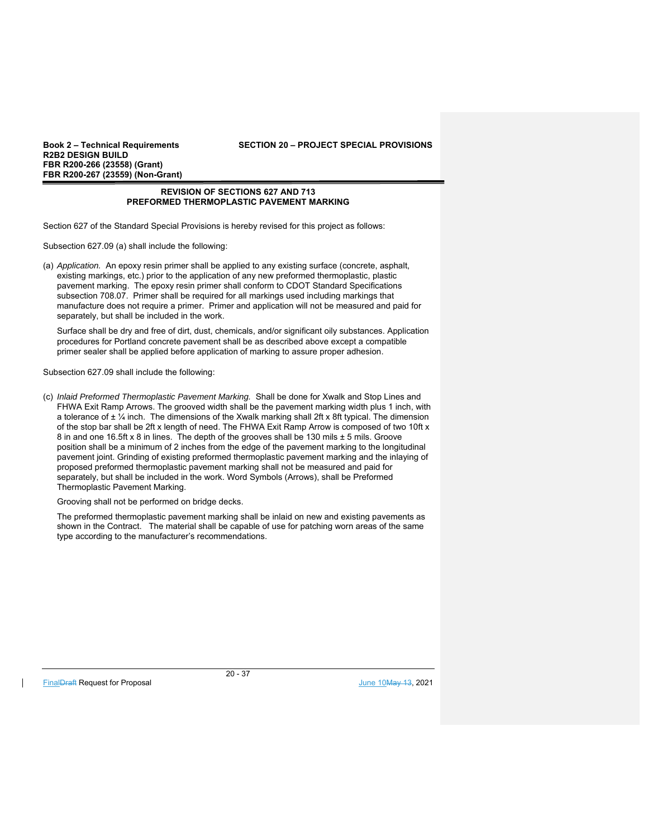## **Book 2 – Technical Requirements SECTION 20 – PROJECT SPECIAL PROVISIONS**

## **REVISION OF SECTIONS 627 AND 713 PREFORMED THERMOPLASTIC PAVEMENT MARKING**

Section 627 of the Standard Special Provisions is hereby revised for this project as follows:

Subsection 627.09 (a) shall include the following:

(a) *Application.* An epoxy resin primer shall be applied to any existing surface (concrete, asphalt, existing markings, etc.) prior to the application of any new preformed thermoplastic, plastic pavement marking. The epoxy resin primer shall conform to CDOT Standard Specifications subsection 708.07. Primer shall be required for all markings used including markings that manufacture does not require a primer. Primer and application will not be measured and paid for separately, but shall be included in the work.

Surface shall be dry and free of dirt, dust, chemicals, and/or significant oily substances. Application procedures for Portland concrete pavement shall be as described above except a compatible primer sealer shall be applied before application of marking to assure proper adhesion.

Subsection 627.09 shall include the following:

(c) *Inlaid Preformed Thermoplastic Pavement Marking.* Shall be done for Xwalk and Stop Lines and FHWA Exit Ramp Arrows. The grooved width shall be the pavement marking width plus 1 inch, with a tolerance of  $\pm$  1/<sub>4</sub> inch. The dimensions of the Xwalk marking shall 2ft x 8ft typical. The dimension of the stop bar shall be 2ft x length of need. The FHWA Exit Ramp Arrow is composed of two 10ft x 8 in and one 16.5ft x 8 in lines. The depth of the grooves shall be 130 mils ± 5 mils. Groove position shall be a minimum of 2 inches from the edge of the pavement marking to the longitudinal pavement joint. Grinding of existing preformed thermoplastic pavement marking and the inlaying of proposed preformed thermoplastic pavement marking shall not be measured and paid for separately, but shall be included in the work. Word Symbols (Arrows), shall be Preformed Thermoplastic Pavement Marking.

Grooving shall not be performed on bridge decks.

The preformed thermoplastic pavement marking shall be inlaid on new and existing pavements as shown in the Contract. The material shall be capable of use for patching worn areas of the same type according to the manufacturer's recommendations.

FinalDraft Request for Proposal June 10May 13, 2021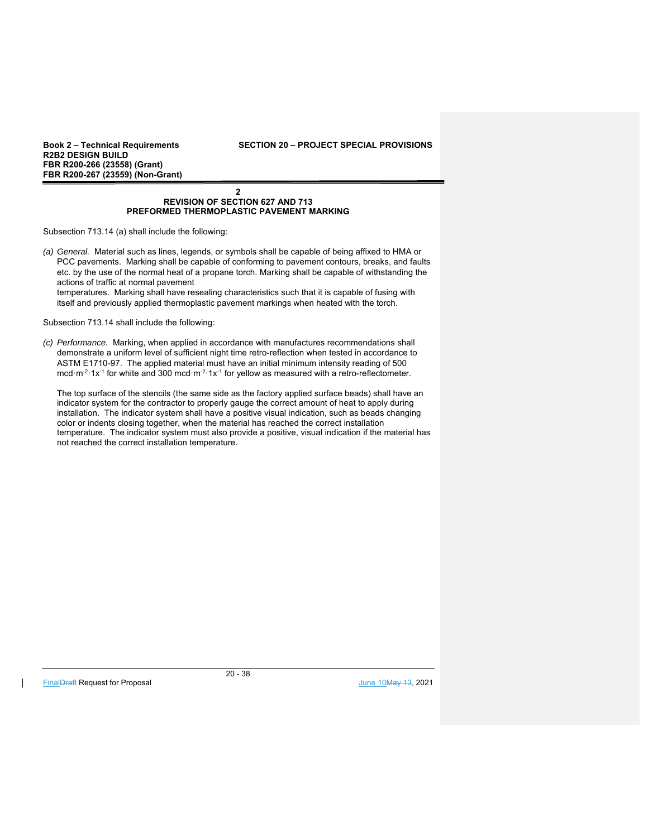## **Book 2 – Technical Requirements SECTION 20 – PROJECT SPECIAL PROVISIONS**

#### **2 REVISION OF SECTION 627 AND 713 PREFORMED THERMOPLASTIC PAVEMENT MARKING**

Subsection 713.14 (a) shall include the following:

*(a) General.* Material such as lines, legends, or symbols shall be capable of being affixed to HMA or PCC pavements. Marking shall be capable of conforming to pavement contours, breaks, and faults etc. by the use of the normal heat of a propane torch. Marking shall be capable of withstanding the actions of traffic at normal pavement

temperatures. Marking shall have resealing characteristics such that it is capable of fusing with itself and previously applied thermoplastic pavement markings when heated with the torch.

Subsection 713.14 shall include the following:

*(c) Performance.* Marking, when applied in accordance with manufactures recommendations shall demonstrate a uniform level of sufficient night time retro-reflection when tested in accordance to ASTM E1710-97. The applied material must have an initial minimum intensity reading of 500 mcd⋅m<sup>-2</sup>⋅1x<sup>-1</sup> for white and 300 mcd⋅m<sup>-2⋅1</sup>x<sup>-1</sup> for yellow as measured with a retro-reflectometer.

The top surface of the stencils (the same side as the factory applied surface beads) shall have an indicator system for the contractor to properly gauge the correct amount of heat to apply during installation. The indicator system shall have a positive visual indication, such as beads changing color or indents closing together, when the material has reached the correct installation temperature. The indicator system must also provide a positive, visual indication if the material has not reached the correct installation temperature.

FinalDraft Request for Proposal June 10May 13, 2021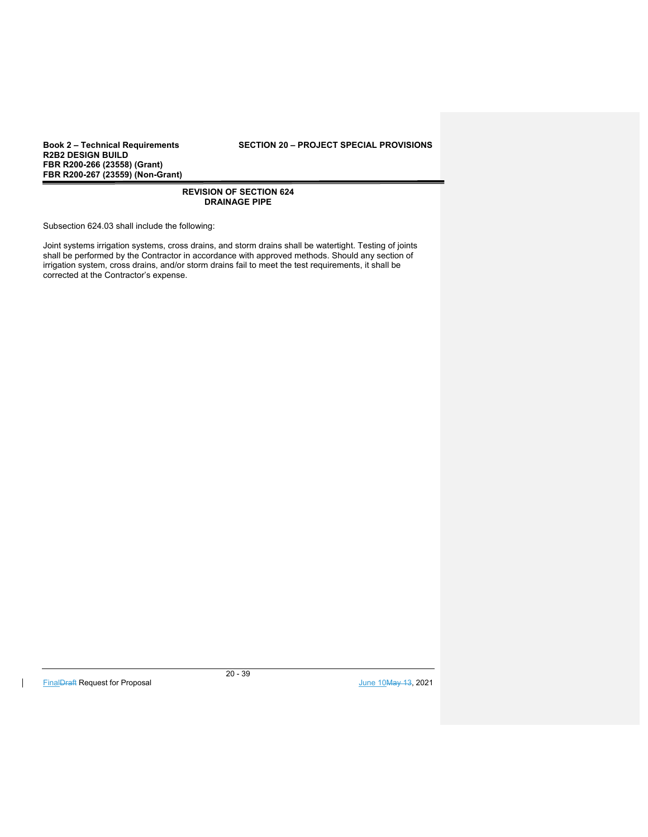**Book 2 – Technical Requirements SECTION 20 – PROJECT SPECIAL PROVISIONS** 

## **REVISION OF SECTION 624 DRAINAGE PIPE**

Subsection 624.03 shall include the following:

Joint systems irrigation systems, cross drains, and storm drains shall be watertight. Testing of joints shall be performed by the Contractor in accordance with approved methods. Should any section of irrigation system, cross drains, and/or storm drains fail to meet the test requirements, it shall be corrected at the Contractor's expense.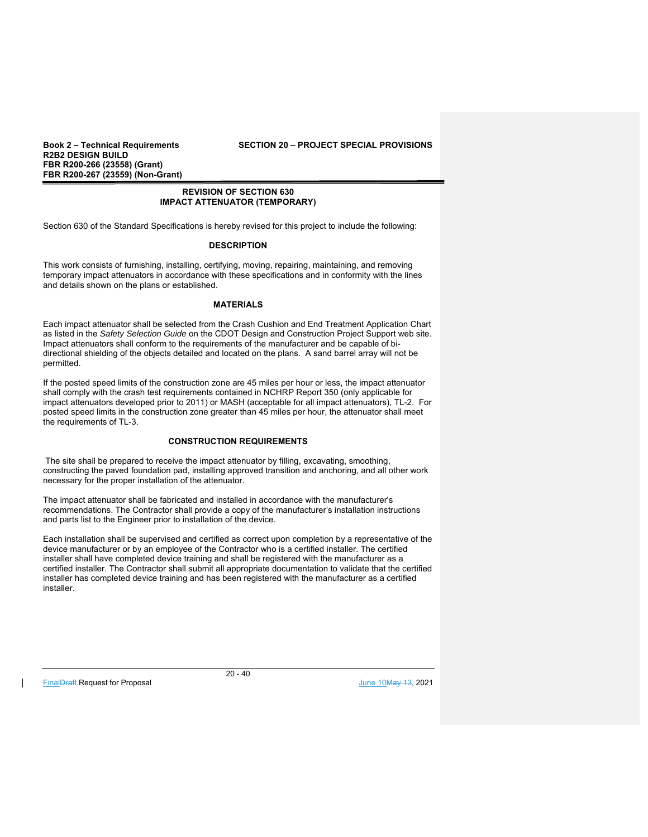**Book 2 – Technical Requirements SECTION 20 – PROJECT SPECIAL PROVISIONS** 

## **REVISION OF SECTION 630 IMPACT ATTENUATOR (TEMPORARY)**

Section 630 of the Standard Specifications is hereby revised for this project to include the following:

## **DESCRIPTION**

This work consists of furnishing, installing, certifying, moving, repairing, maintaining, and removing temporary impact attenuators in accordance with these specifications and in conformity with the lines and details shown on the plans or established.

#### **MATERIALS**

Each impact attenuator shall be selected from the Crash Cushion and End Treatment Application Chart as listed in the *Safety Selection Guide* on the CDOT Design and Construction Project Support web site. Impact attenuators shall conform to the requirements of the manufacturer and be capable of bidirectional shielding of the objects detailed and located on the plans. A sand barrel array will not be permitted.

If the posted speed limits of the construction zone are 45 miles per hour or less, the impact attenuator shall comply with the crash test requirements contained in NCHRP Report 350 (only applicable for impact attenuators developed prior to 2011) or MASH (acceptable for all impact attenuators), TL-2. For posted speed limits in the construction zone greater than 45 miles per hour, the attenuator shall meet the requirements of TL-3.

## **CONSTRUCTION REQUIREMENTS**

 The site shall be prepared to receive the impact attenuator by filling, excavating, smoothing, constructing the paved foundation pad, installing approved transition and anchoring, and all other work necessary for the proper installation of the attenuator.

The impact attenuator shall be fabricated and installed in accordance with the manufacturer's recommendations. The Contractor shall provide a copy of the manufacturer's installation instructions and parts list to the Engineer prior to installation of the device.

Each installation shall be supervised and certified as correct upon completion by a representative of the device manufacturer or by an employee of the Contractor who is a certified installer. The certified installer shall have completed device training and shall be registered with the manufacturer as a certified installer. The Contractor shall submit all appropriate documentation to validate that the certified installer has completed device training and has been registered with the manufacturer as a certified installer.

FinalDraft Request for Proposal June 10May 13, 2021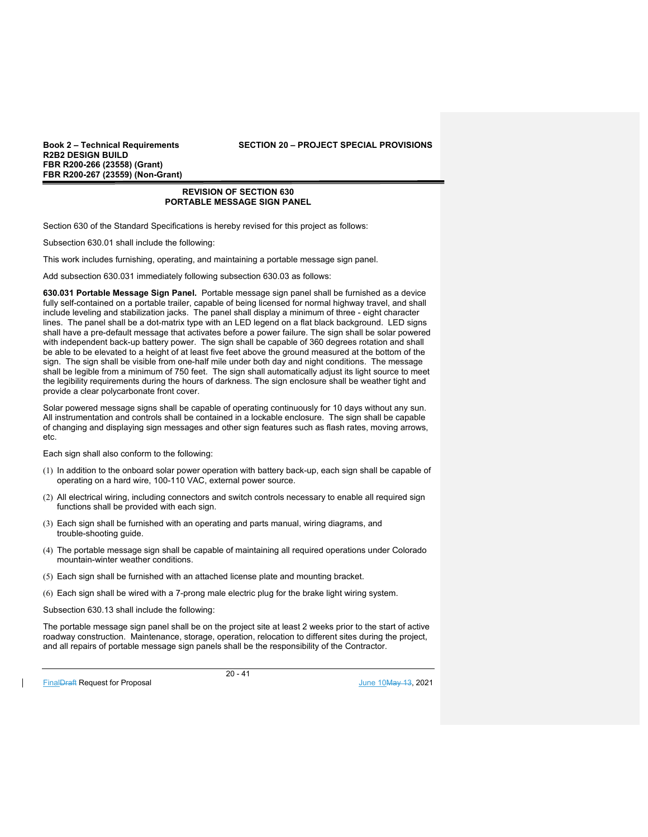**Book 2 – Technical Requirements SECTION 20 – PROJECT SPECIAL PROVISIONS** 

## **REVISION OF SECTION 630 PORTABLE MESSAGE SIGN PANEL**

Section 630 of the Standard Specifications is hereby revised for this project as follows:

Subsection 630.01 shall include the following:

This work includes furnishing, operating, and maintaining a portable message sign panel.

Add subsection 630.031 immediately following subsection 630.03 as follows:

**630.031 Portable Message Sign Panel.** Portable message sign panel shall be furnished as a device fully self-contained on a portable trailer, capable of being licensed for normal highway travel, and shall include leveling and stabilization jacks. The panel shall display a minimum of three - eight character lines. The panel shall be a dot-matrix type with an LED legend on a flat black background. LED signs shall have a pre-default message that activates before a power failure. The sign shall be solar powered with independent back-up battery power. The sign shall be capable of 360 degrees rotation and shall be able to be elevated to a height of at least five feet above the ground measured at the bottom of the sign. The sign shall be visible from one-half mile under both day and night conditions. The message shall be legible from a minimum of 750 feet. The sign shall automatically adjust its light source to meet the legibility requirements during the hours of darkness. The sign enclosure shall be weather tight and provide a clear polycarbonate front cover.

Solar powered message signs shall be capable of operating continuously for 10 days without any sun. All instrumentation and controls shall be contained in a lockable enclosure. The sign shall be capable of changing and displaying sign messages and other sign features such as flash rates, moving arrows, etc.

Each sign shall also conform to the following:

- (1) In addition to the onboard solar power operation with battery back-up, each sign shall be capable of operating on a hard wire, 100-110 VAC, external power source.
- (2) All electrical wiring, including connectors and switch controls necessary to enable all required sign functions shall be provided with each sign.
- (3) Each sign shall be furnished with an operating and parts manual, wiring diagrams, and trouble-shooting guide.
- (4) The portable message sign shall be capable of maintaining all required operations under Colorado mountain-winter weather conditions.
- (5) Each sign shall be furnished with an attached license plate and mounting bracket.
- (6) Each sign shall be wired with a 7-prong male electric plug for the brake light wiring system.

Subsection 630.13 shall include the following:

The portable message sign panel shall be on the project site at least 2 weeks prior to the start of active roadway construction. Maintenance, storage, operation, relocation to different sites during the project, and all repairs of portable message sign panels shall be the responsibility of the Contractor.

FinalDraft Request for Proposal and the set of the set of the set of the set of the set of the set of the set of the set of the set of the set of the set of the set of the set of the set of the set of the set of the set of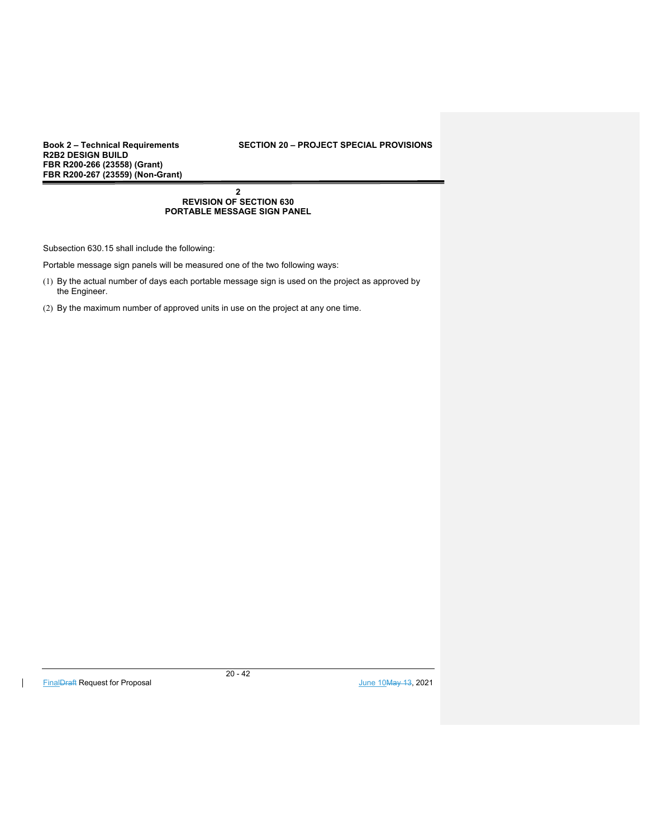## **Book 2 – Technical Requirements SECTION 20 – PROJECT SPECIAL PROVISIONS**

#### **2 REVISION OF SECTION 630 PORTABLE MESSAGE SIGN PANEL**

Subsection 630.15 shall include the following:

Portable message sign panels will be measured one of the two following ways:

- (1) By the actual number of days each portable message sign is used on the project as approved by the Engineer.
- (2) By the maximum number of approved units in use on the project at any one time.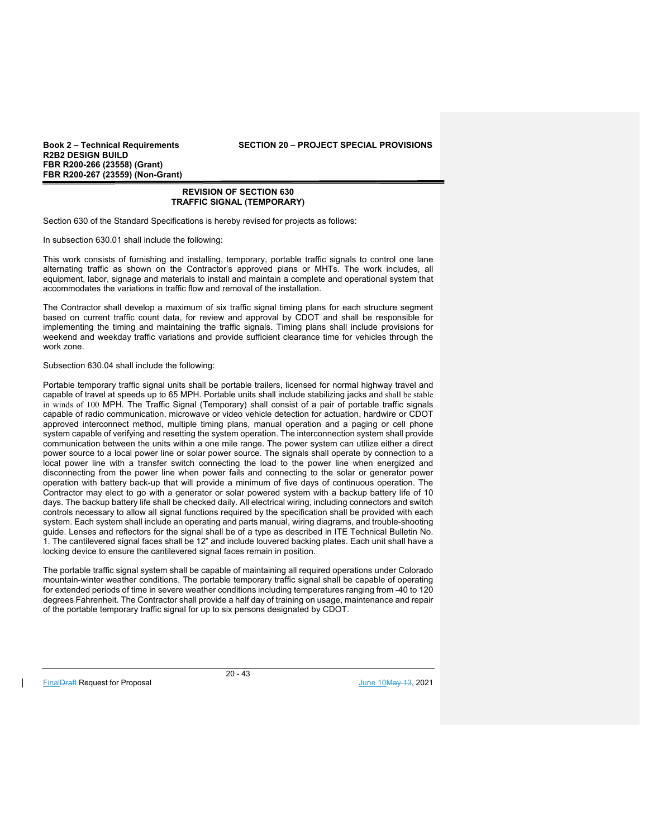**R2B2 DESIGN BUILD FBR R200-266 (23558) (Grant) FBR R200-267 (23559) (Non-Grant)** 

## **REVISION OF SECTION 630 TRAFFIC SIGNAL (TEMPORARY)**

Section 630 of the Standard Specifications is hereby revised for projects as follows:

In subsection 630.01 shall include the following:

This work consists of furnishing and installing, temporary, portable traffic signals to control one lane alternating traffic as shown on the Contractor's approved plans or MHTs. The work includes, all equipment, labor, signage and materials to install and maintain a complete and operational system that accommodates the variations in traffic flow and removal of the installation.

The Contractor shall develop a maximum of six traffic signal timing plans for each structure segment based on current traffic count data, for review and approval by CDOT and shall be responsible for implementing the timing and maintaining the traffic signals. Timing plans shall include provisions for weekend and weekday traffic variations and provide sufficient clearance time for vehicles through the work zone.

Subsection 630.04 shall include the following:

Portable temporary traffic signal units shall be portable trailers, licensed for normal highway travel and capable of travel at speeds up to 65 MPH. Portable units shall include stabilizing jacks and shall be stable in winds of 100 MPH. The Traffic Signal (Temporary) shall consist of a pair of portable traffic signals capable of radio communication, microwave or video vehicle detection for actuation, hardwire or CDOT approved interconnect method, multiple timing plans, manual operation and a paging or cell phone system capable of verifying and resetting the system operation. The interconnection system shall provide communication between the units within a one mile range. The power system can utilize either a direct power source to a local power line or solar power source. The signals shall operate by connection to a local power line with a transfer switch connecting the load to the power line when energized and disconnecting from the power line when power fails and connecting to the solar or generator power operation with battery back-up that will provide a minimum of five days of continuous operation. The Contractor may elect to go with a generator or solar powered system with a backup battery life of 10 days. The backup battery life shall be checked daily. All electrical wiring, including connectors and switch controls necessary to allow all signal functions required by the specification shall be provided with each system. Each system shall include an operating and parts manual, wiring diagrams, and trouble-shooting guide. Lenses and reflectors for the signal shall be of a type as described in ITE Technical Bulletin No. 1. The cantilevered signal faces shall be 12" and include louvered backing plates. Each unit shall have a locking device to ensure the cantilevered signal faces remain in position.

The portable traffic signal system shall be capable of maintaining all required operations under Colorado mountain-winter weather conditions. The portable temporary traffic signal shall be capable of operating for extended periods of time in severe weather conditions including temperatures ranging from -40 to 120 degrees Fahrenheit. The Contractor shall provide a half day of training on usage, maintenance and repair of the portable temporary traffic signal for up to six persons designated by CDOT.

FinalDraft Request for Proposal and the set of the set of the set of the set of the set of the set of the set of the set of the set of the set of the set of the set of the set of the set of the set of the set of the set of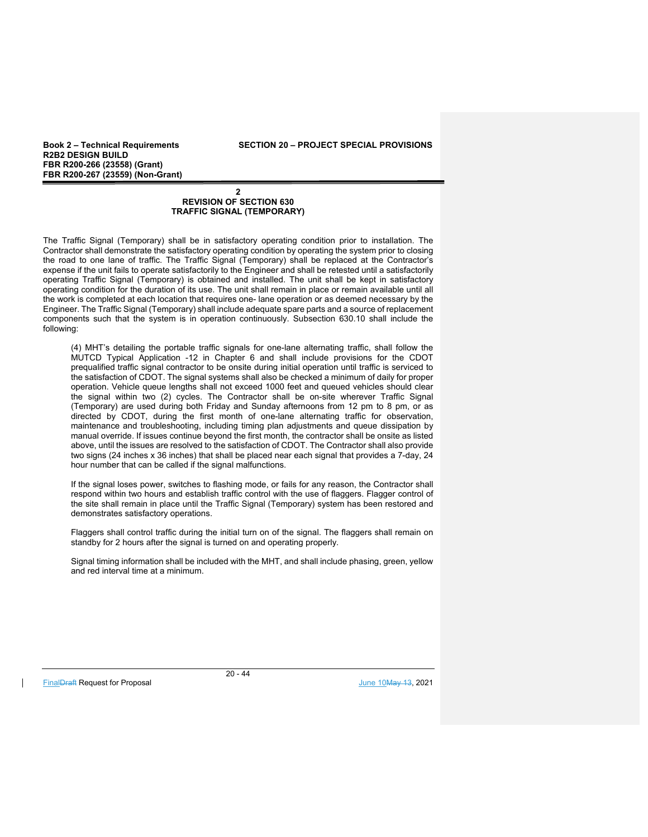**Book 2 – Technical Requirements SECTION 20 – PROJECT SPECIAL PROVISIONS** 

## **2 REVISION OF SECTION 630 TRAFFIC SIGNAL (TEMPORARY)**

The Traffic Signal (Temporary) shall be in satisfactory operating condition prior to installation. The Contractor shall demonstrate the satisfactory operating condition by operating the system prior to closing the road to one lane of traffic. The Traffic Signal (Temporary) shall be replaced at the Contractor's expense if the unit fails to operate satisfactorily to the Engineer and shall be retested until a satisfactorily operating Traffic Signal (Temporary) is obtained and installed. The unit shall be kept in satisfactory operating condition for the duration of its use. The unit shall remain in place or remain available until all the work is completed at each location that requires one- lane operation or as deemed necessary by the Engineer. The Traffic Signal (Temporary) shall include adequate spare parts and a source of replacement components such that the system is in operation continuously. Subsection 630.10 shall include the following:

(4) MHT's detailing the portable traffic signals for one-lane alternating traffic, shall follow the MUTCD Typical Application -12 in Chapter 6 and shall include provisions for the CDOT prequalified traffic signal contractor to be onsite during initial operation until traffic is serviced to the satisfaction of CDOT. The signal systems shall also be checked a minimum of daily for proper operation. Vehicle queue lengths shall not exceed 1000 feet and queued vehicles should clear the signal within two (2) cycles. The Contractor shall be on-site wherever Traffic Signal (Temporary) are used during both Friday and Sunday afternoons from 12 pm to 8 pm, or as directed by CDOT, during the first month of one-lane alternating traffic for observation, maintenance and troubleshooting, including timing plan adjustments and queue dissipation by manual override. If issues continue beyond the first month, the contractor shall be onsite as listed above, until the issues are resolved to the satisfaction of CDOT. The Contractor shall also provide two signs (24 inches x 36 inches) that shall be placed near each signal that provides a 7-day, 24 hour number that can be called if the signal malfunctions.

If the signal loses power, switches to flashing mode, or fails for any reason, the Contractor shall respond within two hours and establish traffic control with the use of flaggers. Flagger control of the site shall remain in place until the Traffic Signal (Temporary) system has been restored and demonstrates satisfactory operations.

Flaggers shall control traffic during the initial turn on of the signal. The flaggers shall remain on standby for 2 hours after the signal is turned on and operating properly.

Signal timing information shall be included with the MHT, and shall include phasing, green, yellow and red interval time at a minimum.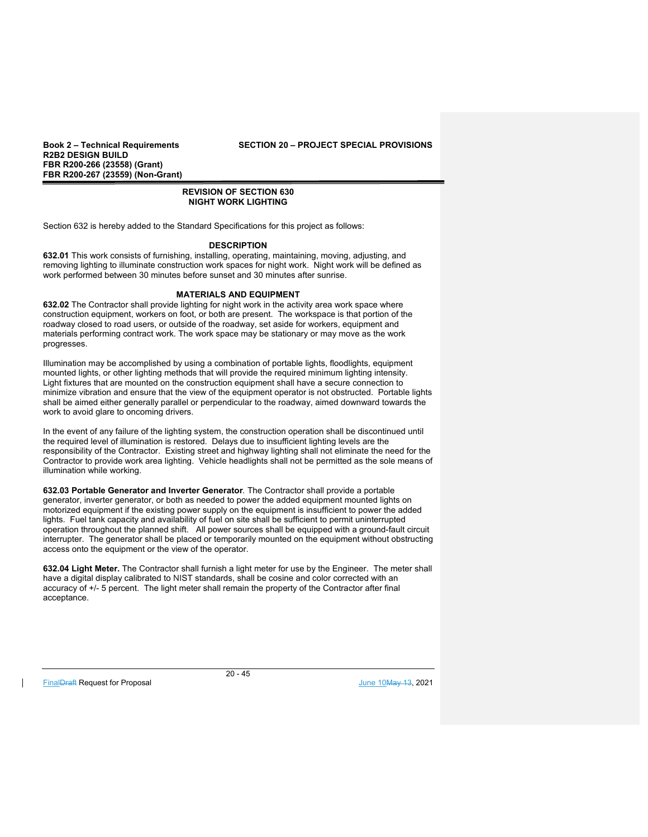## **Book 2 – Technical Requirements SECTION 20 – PROJECT SPECIAL PROVISIONS**

## **REVISION OF SECTION 630 NIGHT WORK LIGHTING**

Section 632 is hereby added to the Standard Specifications for this project as follows:

## **DESCRIPTION**

**632.01** This work consists of furnishing, installing, operating, maintaining, moving, adjusting, and removing lighting to illuminate construction work spaces for night work. Night work will be defined as work performed between 30 minutes before sunset and 30 minutes after sunrise.

## **MATERIALS AND EQUIPMENT**

**632.02** The Contractor shall provide lighting for night work in the activity area work space where construction equipment, workers on foot, or both are present. The workspace is that portion of the roadway closed to road users, or outside of the roadway, set aside for workers, equipment and materials performing contract work. The work space may be stationary or may move as the work progresses.

Illumination may be accomplished by using a combination of portable lights, floodlights, equipment mounted lights, or other lighting methods that will provide the required minimum lighting intensity. Light fixtures that are mounted on the construction equipment shall have a secure connection to minimize vibration and ensure that the view of the equipment operator is not obstructed. Portable lights shall be aimed either generally parallel or perpendicular to the roadway, aimed downward towards the work to avoid glare to oncoming drivers.

In the event of any failure of the lighting system, the construction operation shall be discontinued until the required level of illumination is restored. Delays due to insufficient lighting levels are the responsibility of the Contractor. Existing street and highway lighting shall not eliminate the need for the Contractor to provide work area lighting. Vehicle headlights shall not be permitted as the sole means of illumination while working.

**632.03 Portable Generator and Inverter Generator***.* The Contractor shall provide a portable generator, inverter generator, or both as needed to power the added equipment mounted lights on motorized equipment if the existing power supply on the equipment is insufficient to power the added lights. Fuel tank capacity and availability of fuel on site shall be sufficient to permit uninterrupted operation throughout the planned shift. All power sources shall be equipped with a ground-fault circuit interrupter. The generator shall be placed or temporarily mounted on the equipment without obstructing access onto the equipment or the view of the operator.

**632.04 Light Meter.** The Contractor shall furnish a light meter for use by the Engineer. The meter shall have a digital display calibrated to NIST standards, shall be cosine and color corrected with an accuracy of +/- 5 percent. The light meter shall remain the property of the Contractor after final acceptance.

FinalDraft Request for Proposal and the set of the set of the set of the set of the set of the set of the set of the set of the set of the set of the set of the set of the set of the set of the set of the set of the set of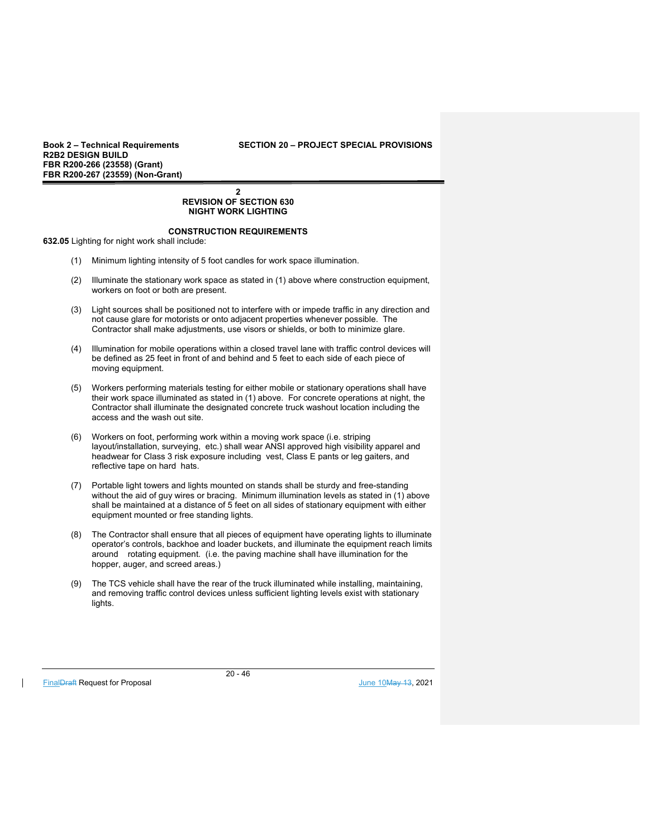## **Book 2 – Technical Requirements SECTION 20 – PROJECT SPECIAL PROVISIONS**

#### **2 REVISION OF SECTION 630 NIGHT WORK LIGHTING**

## **CONSTRUCTION REQUIREMENTS**

**632.05** Lighting for night work shall include:

- (1) Minimum lighting intensity of 5 foot candles for work space illumination.
- (2) Illuminate the stationary work space as stated in (1) above where construction equipment, workers on foot or both are present.
- (3) Light sources shall be positioned not to interfere with or impede traffic in any direction and not cause glare for motorists or onto adjacent properties whenever possible. The Contractor shall make adjustments, use visors or shields, or both to minimize glare.
- (4) Illumination for mobile operations within a closed travel lane with traffic control devices will be defined as 25 feet in front of and behind and 5 feet to each side of each piece of moving equipment.
- (5) Workers performing materials testing for either mobile or stationary operations shall have their work space illuminated as stated in (1) above. For concrete operations at night, the Contractor shall illuminate the designated concrete truck washout location including the access and the wash out site.
- (6) Workers on foot, performing work within a moving work space (i.e. striping layout/installation, surveying, etc.) shall wear ANSI approved high visibility apparel and headwear for Class 3 risk exposure including vest, Class E pants or leg gaiters, and reflective tape on hard hats.
- (7) Portable light towers and lights mounted on stands shall be sturdy and free-standing without the aid of guy wires or bracing. Minimum illumination levels as stated in (1) above shall be maintained at a distance of 5 feet on all sides of stationary equipment with either equipment mounted or free standing lights.
- (8) The Contractor shall ensure that all pieces of equipment have operating lights to illuminate operator's controls, backhoe and loader buckets, and illuminate the equipment reach limits around rotating equipment. (i.e. the paving machine shall have illumination for the hopper, auger, and screed areas.)
- (9) The TCS vehicle shall have the rear of the truck illuminated while installing, maintaining, and removing traffic control devices unless sufficient lighting levels exist with stationary lights.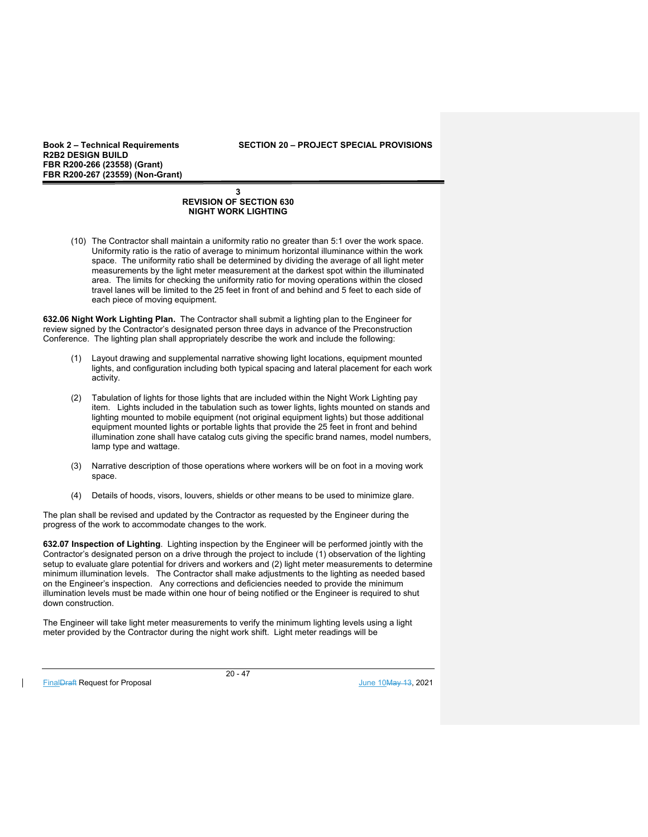**Book 2 – Technical Requirements SECTION 20 – PROJECT SPECIAL PROVISIONS** 

## **3 REVISION OF SECTION 630 NIGHT WORK LIGHTING**

(10) The Contractor shall maintain a uniformity ratio no greater than 5:1 over the work space. Uniformity ratio is the ratio of average to minimum horizontal illuminance within the work space. The uniformity ratio shall be determined by dividing the average of all light meter measurements by the light meter measurement at the darkest spot within the illuminated area. The limits for checking the uniformity ratio for moving operations within the closed travel lanes will be limited to the 25 feet in front of and behind and 5 feet to each side of each piece of moving equipment.

**632.06 Night Work Lighting Plan.** The Contractor shall submit a lighting plan to the Engineer for review signed by the Contractor's designated person three days in advance of the Preconstruction Conference. The lighting plan shall appropriately describe the work and include the following:

- (1) Layout drawing and supplemental narrative showing light locations, equipment mounted lights, and configuration including both typical spacing and lateral placement for each work activity.
- (2) Tabulation of lights for those lights that are included within the Night Work Lighting pay item. Lights included in the tabulation such as tower lights, lights mounted on stands and lighting mounted to mobile equipment (not original equipment lights) but those additional equipment mounted lights or portable lights that provide the 25 feet in front and behind illumination zone shall have catalog cuts giving the specific brand names, model numbers, lamp type and wattage.
- (3) Narrative description of those operations where workers will be on foot in a moving work space.
- (4) Details of hoods, visors, louvers, shields or other means to be used to minimize glare.

The plan shall be revised and updated by the Contractor as requested by the Engineer during the progress of the work to accommodate changes to the work.

**632.07 Inspection of Lighting**. Lighting inspection by the Engineer will be performed jointly with the Contractor's designated person on a drive through the project to include (1) observation of the lighting setup to evaluate glare potential for drivers and workers and (2) light meter measurements to determine minimum illumination levels. The Contractor shall make adjustments to the lighting as needed based on the Engineer's inspection. Any corrections and deficiencies needed to provide the minimum illumination levels must be made within one hour of being notified or the Engineer is required to shut down construction.

The Engineer will take light meter measurements to verify the minimum lighting levels using a light meter provided by the Contractor during the night work shift. Light meter readings will be